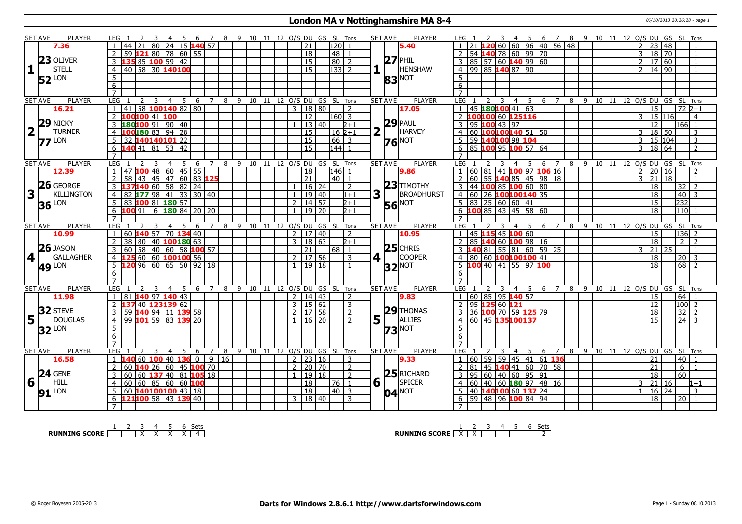#### **London MA v Nottinghamshire MA 8-4** 06/10/2013 20:26:28 - page 1

|   | SET AVE        | <b>PLAYER</b>                      | 6 7 8 9 10 11 12 O/S DU GS SL Tons<br>LEG 1<br>45                                                                                                                                                                                                 |                                  |                |                     |                            | <b>SET AVE</b><br>PLAYER         | 4 5 6 7 8 9 10 11 12 O/S DU GS SL Tons<br>LEG 1                                                               |
|---|----------------|------------------------------------|---------------------------------------------------------------------------------------------------------------------------------------------------------------------------------------------------------------------------------------------------|----------------------------------|----------------|---------------------|----------------------------|----------------------------------|---------------------------------------------------------------------------------------------------------------|
|   |                | 7.36                               | 80 24 15 <b>140</b> 57<br>21                                                                                                                                                                                                                      |                                  |                | 21                  | 120                        | 5.40                             | 2060609614056148<br>2<br>23 48                                                                                |
|   |                |                                    | 59 121 80 78 60 55                                                                                                                                                                                                                                |                                  |                | $\overline{18}$     | 48                         |                                  | 54 140 78 60 99 70<br>18<br>$\sqrt{70}$<br>3                                                                  |
|   |                | $23$ OLIVER                        | 135 85 100 59 42<br>3                                                                                                                                                                                                                             |                                  |                | $\overline{15}$     | $\sqrt{80}$<br>2           | $27$ PHIL                        | $3$ 85 57 60 140 99 60<br>17 60<br>$2^{\circ}$<br>$\overline{1}$                                              |
| 1 |                | STELL                              | 40 58 30 140100<br>$\overline{4}$                                                                                                                                                                                                                 |                                  |                | $\overline{15}$     | $\sqrt{133}$ 2             | <b>HENSHAW</b>                   | 4 99 85 140 87 90<br>14 90<br>$\overline{2}$                                                                  |
|   |                | LON                                | $5^{\circ}$                                                                                                                                                                                                                                       |                                  |                |                     |                            |                                  | $\overline{5}$                                                                                                |
|   | 52             |                                    | 6                                                                                                                                                                                                                                                 |                                  |                |                     |                            | <b>83</b> <sup>NOT</sup>         | 6                                                                                                             |
|   |                |                                    | $\overline{7}$                                                                                                                                                                                                                                    |                                  |                |                     |                            |                                  | $\overline{7}$                                                                                                |
|   | <b>SET AVE</b> | <b>PLAYER</b>                      | LEG<br>5<br>2<br>$\overline{3}$<br>$\overline{4}$<br>- 6                                                                                                                                                                                          | 7 8 9 10 11 12 0/S DU GS SL Tons |                |                     |                            | <b>PLAYER</b><br><b>SET AVE</b>  | <b>LEG</b><br>6 7 8 9 10 11 12 O/S DU GS SL Tons<br>2<br>3<br>$\overline{4}$<br>5                             |
|   |                | 16.21                              | $1  41  58$ 100 140 82 80                                                                                                                                                                                                                         |                                  |                | 3   18   80         | 2                          | 17.05                            | 1   45   180   100   41   63<br>$\overline{15}$<br>72 2+1                                                     |
|   |                |                                    | 2 100100 41 100                                                                                                                                                                                                                                   |                                  |                | $\overline{12}$     | $ 160 $ 3                  |                                  | 2 100100 60 125116<br>15 116<br>3 <sup>1</sup><br>$\overline{4}$                                              |
|   |                | $29$ NICKY                         | 180100 91 90 40<br>3                                                                                                                                                                                                                              |                                  |                | 13 40               | $2 + 1$                    | $29$ PAUL                        | 3   95   100   43   97<br>$\overline{12}$<br>166 1                                                            |
|   | $2\sqrt{1}$    | <b>TURNER</b>                      |                                                                                                                                                                                                                                                   |                                  |                |                     |                            | 2<br>HARVEY                      |                                                                                                               |
|   |                |                                    | 100180 83 94 28                                                                                                                                                                                                                                   |                                  |                | 15                  | $16 \, 2+1$                |                                  | 4 60 100 100 140 51 50<br>18 50<br>3<br>3                                                                     |
|   |                | $77$ <sup>LON</sup>                | 32 140140101 22<br>5                                                                                                                                                                                                                              |                                  |                | $\overline{15}$     | $66 \mid 3$                | $76$ <sup>NOT</sup>              | 59 140100 98 104<br>15 104<br>$\mathsf{3}$<br>3<br>5                                                          |
|   |                |                                    | $140$ 41 81 53 42<br>6                                                                                                                                                                                                                            |                                  |                | $\overline{15}$     | 144                        |                                  | 85 100 95 100 57 64<br>18 64<br>3<br>$\overline{2}$<br>6                                                      |
|   |                |                                    |                                                                                                                                                                                                                                                   |                                  |                |                     |                            |                                  | $\overline{7}$                                                                                                |
|   | <b>SET AVE</b> | <b>PLAYER</b>                      | LEG<br>5<br>$\overline{7}$<br>8<br>3<br>$\overline{4}$<br>6                                                                                                                                                                                       | 9<br>10<br>11                    |                |                     | 12 O/S DU GS SL Tons       | <b>SET AVE</b><br><b>PLAYER</b>  | $9 \t10$<br>12 0/S DU GS<br>LEG<br>8<br>11<br>-SL<br>Tons<br>$\overline{4}$<br>5<br>6<br>7                    |
|   |                | 12.39                              | $147$ 100 48 60 45 55<br>$\overline{1}$                                                                                                                                                                                                           |                                  |                | 18                  | 146<br>$\overline{1}$      | 9.86                             | 60 81 41 100 97 106 16<br>20<br>$\overline{2}$<br>16<br>$\mathbf{1}$<br>$\overline{\phantom{a}}$              |
|   |                | 26 GEORGE                          | 58 43 45 47 60 83 125<br>2                                                                                                                                                                                                                        |                                  |                | $\overline{21}$     | $40$   1                   | $23$ TIMOTHY                     | 2 60 55 140 85 45 98 18<br>3<br>$\overline{21}$<br>18<br>$\overline{1}$                                       |
|   |                |                                    | $\overline{3}$                                                                                                                                                                                                                                    |                                  |                | 16 24               | 2                          |                                  | 3 44 100 85 100 60 80<br>18<br>32<br>$\overline{2}$                                                           |
| 3 |                | <b>KILLINGTON</b>                  | 82 177 98 41 33 30 40<br>$\overline{4}$                                                                                                                                                                                                           |                                  | $\mathbf{1}$   | 19 40               | $1 + 1$                    | 3<br><b>BROADHURST</b>           | 4 60 26 100100140 35<br>18<br>40<br>$\mathbf{R}$                                                              |
|   |                | $36$ LON                           | 83 100 81 180 57<br>$5^{\circ}$                                                                                                                                                                                                                   |                                  |                | $2 \mid 14 \mid 57$ | 2+1                        | <b>56</b> NOT                    | $5 \ 83 \ 25 \ 60 \ 60 \ 41$<br>232<br>15                                                                     |
|   |                |                                    | 100 91<br>$6 \, 180 \, 84 \, 20 \, 20$<br>6                                                                                                                                                                                                       |                                  |                | $19$ 20             | $2+1$                      |                                  | $6$ 100 85 43 45 58 60<br>110<br>18                                                                           |
|   |                |                                    |                                                                                                                                                                                                                                                   |                                  |                |                     |                            |                                  |                                                                                                               |
|   | <b>SET AVE</b> | <b>PLAYER</b>                      | LEG<br>-5<br>6<br>$\overline{7}$<br>4<br>8                                                                                                                                                                                                        | 9<br>10 11 12 0/S DU GS SL       |                |                     | Tons                       | <b>SET AVE</b><br><b>PLAYER</b>  | LEG<br>10 11 12 O/S DU GS<br>SL Tons<br>-9<br>6<br>8                                                          |
|   |                | 10.99                              | 60 140 57 70 134 40                                                                                                                                                                                                                               |                                  |                | $2 \mid 17 \mid 40$ | $\overline{2}$             | 10.95                            | 45 115 45 100 60<br>$ 136 $ 2<br>15                                                                           |
|   |                | $26$ JASON                         | 38 80 40 100 180 63<br>$\overline{2}$                                                                                                                                                                                                             |                                  | $\mathcal{F}$  | 18 63               | $2+1$                      |                                  | 85 140 60 100 98 16<br>$\overline{2}$<br>18<br>$\overline{2}$                                                 |
|   |                |                                    |                                                                                                                                                                                                                                                   |                                  |                | 21                  | $68$   1                   | $25$ CHRIS                       | 3 140 81 55 81 60 59 25<br>21<br>$\mathbf{3}$<br>25                                                           |
|   | 4              | <b>GALLAGHER</b>                   | $\begin{array}{ c c c c c c c c c } \hline 1 & 30 & 58 & 40 & 60 & 58 & \textbf{100} & \textbf{57} \\ \hline 4 & 125 & 60 & 60 & \textbf{100} & \textbf{100} & \textbf{56} \\ \hline 5 & 120 & 96 & 60 & 65 & 50 & 92 & 18 \\ \hline \end{array}$ |                                  |                | $2 \mid 17 \mid 56$ | $\mathcal{R}$              | $4$   <br>COOPER                 | 4 80 60 100100100 41<br>18<br>$20 \mid 3$                                                                     |
|   |                | <b>49</b> LON                      |                                                                                                                                                                                                                                                   |                                  |                | $1 \mid 19 \mid 18$ | -1                         | $32$ <sup>NOT</sup>              | 5 100 40 41 55 97 100<br>$\overline{18}$<br>68<br>$\sqrt{2}$                                                  |
|   |                |                                    | 6                                                                                                                                                                                                                                                 |                                  |                |                     |                            |                                  | 6                                                                                                             |
|   |                |                                    | $\overline{7}$                                                                                                                                                                                                                                    |                                  |                |                     |                            |                                  | $\overline{7}$                                                                                                |
|   | <b>SET AVE</b> | PLAYER                             | <b>LEG</b><br>- 5<br>6<br>$\overline{7}$<br>8<br>$\mathcal{L}$<br>3<br>$\overline{4}$                                                                                                                                                             | -9                               |                |                     | 10 11 12 0/S DU GS SL Tons | PLAYER<br><b>SET AVE</b>         | <b>LEG</b><br>6 7 8 9 10 11 12 O/S DU GS SL Tons<br>$\overline{4}$<br>$-5$                                    |
|   |                | 11.98                              | 140 97 140 43<br>81<br>$\overline{1}$                                                                                                                                                                                                             |                                  |                | 2   14   43         | 2                          | 9.83                             | 1   60   85   95   140   57<br>$\overline{15}$<br>$64$   1                                                    |
|   |                |                                    | 62<br>$\overline{2}$<br>140 <b>123</b><br>139<br>137                                                                                                                                                                                              |                                  |                | $3 \mid 15 \mid 62$ | $\overline{3}$             |                                  | $ 100 $ 2<br>2 95 125 60 121<br>$\overline{12}$                                                               |
|   |                |                                    | 59 140 94 11 139 58<br>3                                                                                                                                                                                                                          |                                  |                | 2   17   58         | $\overline{2}$             | $29$ THOMAS                      | $\overline{18}$                                                                                               |
|   |                |                                    |                                                                                                                                                                                                                                                   |                                  |                |                     |                            |                                  | $32$ 2<br>3 3 36 100 70 59 125 79                                                                             |
|   |                | $5$ <sup>32</sup> STEVE<br>DOUGLAS | $99$ 101 59 83<br>$\overline{4}$<br>139 20                                                                                                                                                                                                        |                                  |                | $16 \mid 20$        | 2                          | $5\vert \bar{1} \vert$<br>ALLIES | 60 45 135100137<br>$\overline{24}$ 3<br>$\overline{4}$<br>15                                                  |
|   |                |                                    | 5                                                                                                                                                                                                                                                 |                                  |                |                     |                            |                                  | 5 <sup>5</sup>                                                                                                |
|   |                | $32$ LON                           | 6                                                                                                                                                                                                                                                 |                                  |                |                     |                            | $73$ <sup>NOT</sup>              | 6                                                                                                             |
|   |                |                                    | $\overline{7}$                                                                                                                                                                                                                                    |                                  |                |                     |                            |                                  | $\overline{7}$                                                                                                |
|   | <b>SET AVE</b> | <b>PLAYER</b>                      | <b>LEG</b><br>8<br>$\overline{4}$<br>-5<br>6<br>7                                                                                                                                                                                                 | 9 10<br>11                       |                |                     | 12 O/S DU GS SL Tons       | <b>SET AVE</b><br><b>PLAYER</b>  | 9 10 11 12 O/S DU GS SL Tons<br>LEG<br>8<br>4<br>5.<br>6<br>$\overline{7}$                                    |
|   |                | 16.58                              | 9<br>$40$ 136 0<br>16<br>1 140 60 100                                                                                                                                                                                                             |                                  |                | $2 \mid 23 \mid 16$ | $\overline{3}$             | 9.33                             | $1   60   59   59   45   41   61$ 136<br>40<br>21                                                             |
|   |                |                                    | $ 60 $ 45 <b>100</b> 70<br>60 140 26<br>2                                                                                                                                                                                                         |                                  | $\overline{2}$ | 20 70               | $\overline{2}$             |                                  | $2$ 81 45 140 41 60 70 58<br>21<br>6                                                                          |
|   |                |                                    | 60 60 137 40 81 105 18<br>$\overline{3}$                                                                                                                                                                                                          |                                  | $\mathbf{1}$   | 19 18               | $\overline{2}$             | $25$ RICHARD                     | 3   95   60   40   60   95   91<br>$\overline{60}$<br>$\overline{18}$                                         |
|   |                | $24$ GENE<br>HILL                  | $\overline{4}$                                                                                                                                                                                                                                    |                                  |                | $\overline{18}$     | $\sqrt{76}$ 1              | SPICER                           | 21 16<br>$\overline{4}$<br>3<br>$1+1$                                                                         |
|   | $6\sqrt{ }$    |                                    | $60 \ 60 \ 85 \ 60 \ 60 \ 100$<br>5<br>60 $140100100$ 43   18                                                                                                                                                                                     |                                  |                | $\overline{18}$     | 40 3                       | $6\sqrt{1}$                      | 60 40 60 180 97 48 16<br>5   40   140   100   60   137   24<br>$16 \mid 24$<br>$\overline{3}$<br>$\mathbf{1}$ |
|   |                | $91$ <sup>LON</sup>                | 6 121 100 58 43 139 40                                                                                                                                                                                                                            |                                  |                | 3   18   40         | 3                          | $04$ <sup>NOT</sup>              | $6$ 59 48 96 100 84 94<br>$\overline{18}$<br>$\overline{20}$                                                  |

**RUNNING SCORE** 1 2 3 X 4 X 5 X 6 X Sets 4

**RUNNING SCORE**  $\begin{array}{|c|c|c|c|c|}\n\hline\n\textbf{1} & \textbf{2} & \textbf{3} & \textbf{4} & \textbf{5} & \textbf{6} & \textbf{Sets} \\
\hline\n\textbf{2} & \textbf{3} & \textbf{4} & \textbf{5} & \textbf{6} & \textbf{Sets} \\
\hline\n\end{array}$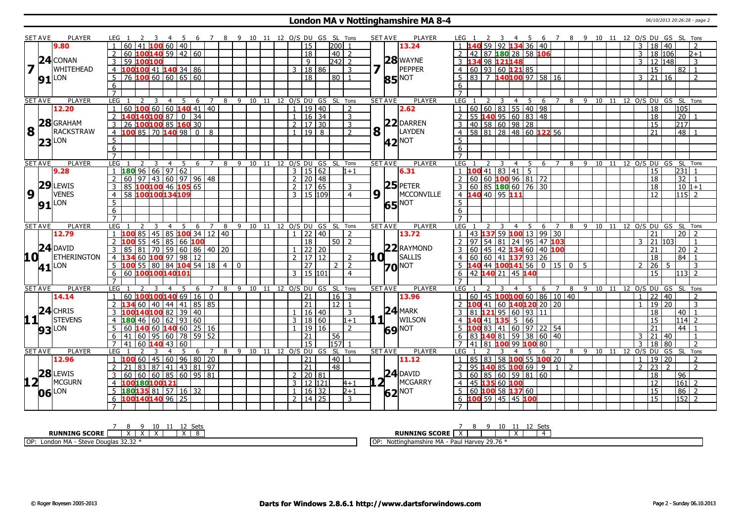#### **London MA v Nottinghamshire MA 8-4** 06/10/2013 20:26:28 - page 2

|                         | <b>SET AVE</b>  | PLAYER              | LEG 1<br>3<br>-4<br>- 5                                         | 6 7 8 9 10 11 12 O/S DU GS SL Tons |                                |               |                       |                 |                        | <b>SET AVE</b>        | <b>PLAYER</b>            | 6 7 8 9 10 11 12 O/S DU GS SL Tons<br>LEG 1<br>$\overline{\phantom{a}3}$<br>- 4 - 5                                     |
|-------------------------|-----------------|---------------------|-----------------------------------------------------------------|------------------------------------|--------------------------------|---------------|-----------------------|-----------------|------------------------|-----------------------|--------------------------|-------------------------------------------------------------------------------------------------------------------------|
|                         |                 | 9.80                | $100$ 60 $ 40$<br>60<br>41                                      |                                    |                                |               | 15                    |                 | 200                    |                       | 13.24                    | $59$ 92 1<br>$36 \ 40$<br>34<br>3<br>18 40<br>2                                                                         |
|                         |                 |                     | $60$ 100140 59 42 60                                            |                                    |                                |               | 18                    |                 | $40$   2               |                       |                          | 18 106<br>2 42 87 180 28 58 106<br>$\overline{3}$<br>$\overline{2+1}$                                                   |
|                         |                 | $24$ CONAN          | 3<br>59 100100                                                  |                                    |                                |               | 9                     |                 | $242$ 2                |                       | $28$ WAYNE               | 3 134 98 121 148<br>12 148<br>3<br>3                                                                                    |
| $\overline{\mathbf{z}}$ |                 | <b>WHITEHEAD</b>    | 100 <mark>100</mark> 41 140 34 86<br>$\overline{4}$             |                                    |                                |               | 3   18   86           |                 | 3                      | 7                     | PEPPER                   | 4   60   93   60   121   85<br>15<br>82<br>$\overline{1}$                                                               |
|                         |                 |                     | $\overline{76}$ 100 60 60 65 60<br>$5^{\circ}$                  |                                    |                                |               | $\overline{18}$       |                 | 80 I<br>$\overline{1}$ |                       |                          | $5 \mid 83 \mid 7$ 140100 97 58 16<br>$\overline{21}$<br>3<br>l 16<br>$\overline{2}$                                    |
|                         |                 | $91$ <sup>LON</sup> | $6\phantom{.}6$                                                 |                                    |                                |               |                       |                 |                        |                       | <b>85 NOT</b>            | 6                                                                                                                       |
|                         |                 |                     | $\overline{7}$                                                  |                                    |                                |               |                       |                 |                        |                       |                          | $\overline{7}$                                                                                                          |
|                         | <b>SET AVE</b>  | <b>PLAYER</b>       | <b>LEG</b><br>$\overline{2}$<br>3<br>$\overline{4}$<br>- 5<br>6 | 7                                  | 8 9 10 11 12 O/S DU GS SL Tons |               |                       |                 |                        | <b>SET AVE</b>        | <b>PLAYER</b>            | LEG<br>7 8 9 10 11 12 0/S DU GS SL Tons<br>2<br>3<br>$\overline{4}$<br>5<br>6                                           |
|                         |                 | 12.20               | 60   60   140   41   40<br>60<br>100<br>1                       |                                    |                                | $\mathbf{1}$  | 19 40                 |                 | 2                      |                       | 2.62                     | 1   60   60   83   55   40   98<br>105<br>18                                                                            |
|                         |                 |                     | 140140100 87 0 34<br>$\overline{2}$                             |                                    |                                |               | $1$ 16 34             |                 | $\overline{3}$         |                       |                          | 2 55 140 95 60 83 48<br>18<br>20                                                                                        |
|                         |                 | 28 GRAHAM           | 100100 85 160 30<br>3<br>26                                     |                                    |                                |               | $2 \mid 17 \mid 30$   |                 | $\overline{3}$         |                       | 22 DARREN                | 3   40   58   60   98   28<br>217<br>15                                                                                 |
| 8                       |                 | <b>RACKSTRAW</b>    | 100 85 70 140 98  <br>$\boxed{0}$<br>$\overline{4}$             | 8                                  |                                |               | $1 \mid 19 \mid 8$    |                 | 2                      | $8\vert$ <sup>T</sup> | LAYDEN                   | $4 \overline{)58 \overline{)81} \overline{28} \overline{48} \overline{60}$ 122 56<br>$\overline{48}$<br>$\overline{21}$ |
|                         |                 | LON                 |                                                                 |                                    |                                |               |                       |                 |                        |                       |                          | 5                                                                                                                       |
|                         | 23              |                     | $\overline{5}$                                                  |                                    |                                |               |                       |                 |                        |                       | <b>42</b> <sup>NOT</sup> | 6                                                                                                                       |
|                         |                 |                     | 6<br>$\overline{7}$                                             |                                    |                                |               |                       |                 |                        |                       |                          |                                                                                                                         |
|                         | <b>SET AVE</b>  | <b>PLAYER</b>       | LEG<br>2<br>3<br>$\overline{4}$<br>- 5<br>6                     | $\overline{7}$<br>8                | 9 10 11 12 O/S DU GS SL Tons   |               |                       |                 |                        | <b>SET AVE</b>        | <b>PLAYER</b>            | LEG<br>-9<br>10 11 12 0/S DU GS SL Tons<br>$\overline{4}$<br>- 5<br>6<br>8                                              |
|                         |                 | 9.28                | 18096669762                                                     |                                    |                                |               | $3 \mid 15 \mid 62$   |                 | $1 + 1$                |                       | 6.31                     | $1$ 100 41 83 41 5<br> 231 <br>15                                                                                       |
|                         |                 |                     | $143 \mid 60 \mid 97 \mid 96 \mid 48$<br>2<br>60<br>97          |                                    |                                |               | $2 \ 20 \ 48$         |                 |                        |                       |                          | 2   60   60   100   96   81   72<br>$\overline{32}$<br>$\overline{18}$<br>$\overline{1}$                                |
|                         | 29              | LEWIS               | 100100 46 105 65<br>3<br>85                                     |                                    |                                |               | 2   17   65           |                 | $\overline{3}$         |                       | $25$ PETER               | 3   60   85   180   60   76   30<br>$10 1+1$<br>18                                                                      |
| 9                       |                 | <b>VENES</b>        | $\overline{58}$<br>100100134109<br>$\overline{4}$               |                                    |                                |               | $3 \mid 15 \mid 109$  |                 | $\overline{4}$         | 9                     | MCCONVILLE               | 4 140 40 95 111<br>$115$ 2<br>$\overline{12}$                                                                           |
|                         |                 |                     |                                                                 |                                    |                                |               |                       |                 |                        |                       |                          | 5 <sup>1</sup>                                                                                                          |
|                         |                 | <b>91 LON</b>       | $\overline{5}$<br>6                                             |                                    |                                |               |                       |                 |                        |                       | <b>NOT</b><br>65         | 6                                                                                                                       |
|                         |                 |                     | $\overline{7}$                                                  |                                    |                                |               |                       |                 |                        |                       |                          | $\overline{7}$                                                                                                          |
|                         | <b>SET AVE</b>  | <b>PLAYER</b>       | LEG<br>3<br>$\overline{4}$<br>- 5<br>- 6                        | $\overline{7}$<br>8                | 9 10 11 12 O/S DU GS SL Tons   |               |                       |                 |                        | <b>SET AVE</b>        | <b>PLAYER</b>            | LEG<br>8 9 10 11 12 O/S DU GS SL Tons<br>$\overline{4}$<br>- 5<br>- 6<br>$\overline{7}$                                 |
|                         |                 | 12.79               | 85 45 85 100 34 12 40<br>$\overline{1}$<br>100                  |                                    |                                |               | $1 \vert 22 \vert 40$ |                 | $\mathcal{L}$          |                       | 13.72                    | $1 \mid 43$ <b>137</b> 59 <b>100</b> 13 99 30<br>$20 \mid 2$<br>21                                                      |
|                         |                 |                     | 55<br>45<br>  85   66 <b>100</b><br>2                           |                                    |                                |               | $\overline{18}$       |                 | $50$   2               |                       |                          | 2 97 54 81 24 95 47 103<br>21 103<br>3                                                                                  |
|                         |                 | $24$ DAVID          | $\overline{3}$<br>70 59 60 86 40 20<br>85<br>81                 |                                    |                                |               | $1 \ 22 \ 20$         |                 |                        |                       | 22 RAYMOND               | 3 60 45 42 134 60 40 100<br>21<br>20<br>$\overline{2}$                                                                  |
| 10 I                    |                 | <b>ETHERINGTON</b>  | $100$ 97   98<br>12<br>$\overline{4}$<br>60                     |                                    |                                | $\mathcal{P}$ | $117$ 12              |                 | $\overline{z}$         | TO L                  | SALLIS                   | 4   60   60   41   137   93   26<br>18<br>84                                                                            |
|                         |                 |                     | 100 55 80 84 104 54 18<br>5                                     | $\overline{4}$<br>$\mathbf 0$      |                                |               | $\overline{27}$       |                 | $\overline{2}$<br>2    |                       |                          | 5 140 44 100 141 56<br>$0$ 15 $0$<br>$\overline{26}$<br>5<br>$\overline{2}$<br>-5<br>3                                  |
|                         |                 | $41$ <sup>LON</sup> | 6 <sup>7</sup><br>60 100100140101                               |                                    |                                |               | $3 \mid 15 \mid 101$  |                 | $\overline{4}$         |                       | <b>70</b> <sup>NOT</sup> | $\overline{15}$<br>6 42 140 21 45 140<br>$113$ 2                                                                        |
|                         |                 |                     | $\overline{7}$                                                  |                                    |                                |               |                       |                 |                        |                       |                          |                                                                                                                         |
|                         | <b>SET AVE</b>  | <b>PLAYER</b>       | LEG<br>-5<br>6<br>4                                             | 7<br>9<br>8                        | 10<br>11                       | 12 O/S DU     |                       | SL<br>GS        | Tons                   | <b>SET AVE</b>        | <b>PLAYER</b>            | SL Tons<br>LEG<br>7<br>8<br>- 9<br>11<br>12 O/S DU GS<br>4<br>-5<br>6<br>10                                             |
|                         |                 | 14.14               | 60 100100140 69<br>$\mathbf{1}$<br><sup>16</sup>                | $\mathbf{0}$                       |                                |               | 21                    |                 | $16$ 3                 |                       | 13.96                    | $1   60   45   100   100   60   86   10   40$<br>22<br>40<br>$\overline{\phantom{0}}$<br>1                              |
|                         |                 |                     | 40   44   41   85   85<br>$\overline{2}$<br>60                  |                                    |                                |               | 21                    |                 | 12<br>$\overline{1}$   |                       |                          | 2 100 41 60 140120 20 20<br>19 20<br>3<br>$\overline{1}$                                                                |
|                         |                 | $24$ CHRIS          | L40 <mark>100</mark> 82   39   40<br>$\overline{3}$             |                                    |                                |               | 16 40                 |                 | 3                      |                       | $24$ MARK                | $3 \ 81 \ 121 \ 95 \ 60 \ 93 \ 11$<br>18<br>40<br>$\overline{1}$                                                        |
|                         | 11+             | <b>STEVENS</b>      | <b>180</b> 46 60 62 93 60<br>$\overline{4}$                     |                                    |                                |               | 3   18   60           |                 | $1 + 1$                | 11                    | WILSON                   | 4 140 41 135 5 66<br>15<br>1141                                                                                         |
|                         |                 | <b>LON</b>          | $140$ 60 25 16<br>5<br>60<br>60<br>140                          |                                    |                                |               | 19 16                 |                 | 2                      |                       |                          | $5 \vert 100 \vert 83 \vert 41 \vert 60 \vert 97 \vert 22 \vert 54$<br>$\overline{44}$<br>21                            |
|                         | 93              |                     | 60 95 60 78<br>6<br>41                                          | 59 52                              |                                |               | 21                    | 56              |                        |                       | <b>69 NOT</b>            | $\overline{21}$<br>6   83   140   81   59   38   60   40<br>$\overline{3}$<br>40<br>$\overline{1}$                      |
|                         |                 |                     | $\overline{7}$<br>60<br> 43 60<br>41<br>140                     |                                    |                                |               | 15                    |                 | $157$ 1                |                       |                          | 18 80<br>7 41 81 100 99 100 80<br>3<br>$\overline{2}$                                                                   |
|                         | <b>SET AVE</b>  | <b>PLAYER</b>       | <b>LEG</b><br>5<br>6<br>$\overline{4}$                          | $\overline{7}$<br>8                | 9 10 11 12 O/S DU GS SL Tons   |               |                       |                 |                        | <b>SET AVE</b>        | <b>PLAYER</b>            | <b>LEG</b><br>O/S DU<br>GS<br>SL Tons<br>$\overline{7}$<br>8<br>9 10 11 12<br>$\overline{4}$<br>6                       |
|                         |                 | 12.96               | $145 \mid 60 \mid 96 \mid 80 \mid 20$<br>60<br>$\mathbf{1}$     |                                    |                                |               | 21                    |                 | $\vert 40 \vert 1$     |                       | 11.12                    | 19 <br>1 85 83 58 100 55 100 20<br>l 20<br>$\overline{1}$<br>$\overline{2}$                                             |
|                         |                 |                     | 87 41 43 81 97<br>83                                            |                                    |                                |               | $\overline{21}$       | $\overline{48}$ |                        |                       |                          | $ 23\rangle$<br>$\overline{2}$<br>  95 <b>140</b> 85 <b>100</b> 69   9<br>112<br>2<br>2<br>$\overline{2}$               |
|                         | 28              | LEWIS               | 60 60 85 60 95 81<br>3<br>60                                    |                                    |                                |               | 2 20 81               |                 |                        |                       | $24$ DAVID               | 3 60 85 60 59 81 60<br>18<br>96                                                                                         |
|                         | 12 <sub>1</sub> | <b>MCGURN</b>       | 100180100121<br>4                                               |                                    |                                |               | 3   12   121          |                 | $H + 1$                | $2^{\overline{1}}$    | MCGARRY                  | 161<br>4 45 135 60 100<br>12<br>$\sqrt{2}$                                                                              |
|                         |                 |                     | 180135881571632<br>5                                            |                                    |                                | $\mathbf{1}$  | $16 \mid 32$          |                 | $2+1$                  |                       |                          | 86<br>$5 60 $ 100 58 137 60<br>15<br>$\overline{2}$                                                                     |
|                         |                 | 06 LON              | 100140140 96 25<br>6                                            |                                    |                                |               | 2   14   25           |                 | $\overline{3}$         |                       | 62 <sup>NOT</sup>        | $\overline{152}$ 2<br>$6$ 100 59 45 45 100<br>$\overline{15}$                                                           |
|                         |                 |                     |                                                                 |                                    |                                |               |                       |                 |                        |                       |                          |                                                                                                                         |
|                         |                 |                     |                                                                 |                                    |                                |               |                       |                 |                        |                       |                          |                                                                                                                         |

| 10<br>⊬ہ⊃<br>ししい<br><b>RUNNING SCORE</b><br>. . | 10<br>⊆ot<br>ーノー・ー<br><b>RUNNING SCORE</b> |
|-------------------------------------------------|--------------------------------------------|
| OP:                                             | $\sim$ $\sim$ $\sim$                       |
| $\sim$ $\sim$                                   | I OF                                       |
| M                                               | .nshire MA                                 |
| Londor                                          | <sup>1</sup> Harvey                        |
| Steve                                           | n.,                                        |
| alas                                            | . $2J.(b^*)$                               |
| .                                               | - - -                                      |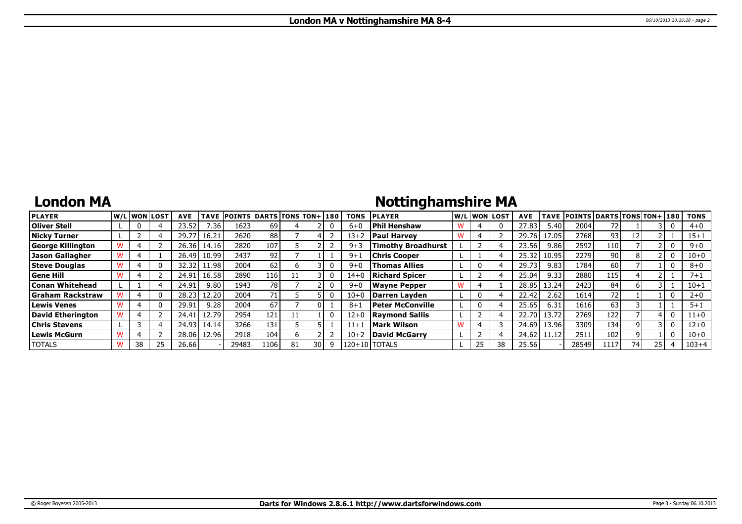## **London MA**

# **Nottinghamshire MA**

| <b>PLAYER</b>            |    | lw/Llwonllost | <b>AVE</b> |       | TAVE POINTS DARTS TONS TON+ 180 |      |    |    | <b>TONS</b> | <b>IPLAYER</b>            |              | W/L WON LOST | <b>AVE</b> |        | TAVE POINTS DARTS TONS TON+ 180 |      |    |    | <b>TONS</b> |
|--------------------------|----|---------------|------------|-------|---------------------------------|------|----|----|-------------|---------------------------|--------------|--------------|------------|--------|---------------------------------|------|----|----|-------------|
| <b>Oliver Stell</b>      |    |               | 23.52      | '.36  | 1623                            | 69   |    |    | $6 + 0$     | Phil Henshaw              |              |              | 27.83      | 5.40   | 2004                            |      |    |    | $4 + 0$     |
| Nicky Turner             |    |               | 29.7       | 16.21 | 2620                            | 88   |    |    | 13+2        | <b>Paul Harvey</b>        |              |              | 29.76      | 17.05. | 2768                            | 93   | 12 |    | $15 + 1$    |
| <b>George Killington</b> |    |               | 26.36      | 14.16 | 2820                            | 107  |    |    | $9 + 3$     | <b>Timothy Broadhurst</b> |              |              | 23.56      | 9.86   | 2592                            | 110  |    |    | $9 + 0$     |
| Jason Gallagher          |    |               | 26.49      | 10.99 | 2437                            | 92   |    |    | $9 + 1$     | Chris Cooper              |              |              | 25.32      | 10.95  | 2279                            | 90 l |    |    | $10 + 0$    |
| <b>Steve Douglas</b>     |    |               | 32.32      | 11.98 | 2004                            | 62   |    |    | $9 + 0$     | <b>Thomas Allies</b>      | $\mathbf{0}$ |              | 29.73      | 9.83   | 1784                            | 60 l |    |    | $8+0$       |
| <b>Gene Hill</b>         |    |               | 24.91      | 16.58 | 2890                            | 116  |    |    | $14 + 0$    | <b>Richard Spicer</b>     |              |              | 25.04      | 9.33   | 2880                            | 115' |    |    | $7 + 1$     |
| Conan Whitehead          |    |               | 24.91      | 9.80  | 1943                            | 78 l |    |    | $9 + 0$     | Wayne Pepper              |              |              | 28.85      | 13.24  | 2423                            | 84   |    |    | $10 + 1$    |
| Graham Rackstraw         |    |               | 28.23      | 12.20 | 2004                            |      |    |    | $10 + 0$    | Darren Lavden             | $\mathbf{0}$ |              | 22.42      | 2.62   | 1614                            | 72   |    |    | $2 + 0$     |
| <b>Lewis Venes</b>       |    |               | 29.91      | 9.28  | 2004                            | 67   |    |    | $8 + 1$     | Peter McConville          | 0            |              | 25.65      | 6.31   | 1616                            | 63   |    |    | $5 + 1$     |
| David Etherington        |    |               | 24.4       | 12.79 | 2954                            | 121  |    |    | $12+0$      | <b>Raymond Sallis</b>     |              |              | 22.70      | 13.72  | 2769                            | 122  |    |    | $11+0$      |
| <b>Chris Stevens</b>     |    |               | 24.93      | 14.14 | 3266                            | 131  |    |    | $11+1$      | Mark Wilson               |              |              | 24.69      | 13.96  | 3309                            | 134  |    |    | 12+0        |
| Lewis McGurn             |    |               | 28.06      | 12.96 | 2918                            | 104  |    |    | $10 + 2$    | David McGarry             |              |              | 24.62      | 11.12  | 251                             | 102  |    |    | 10+0        |
| <b>TOTALS</b>            | 38 | 25            | 26.66      |       | 29483                           | 1106 | 81 | 30 |             | $120+10$ I TOTALS         | 25           |              | 25.56      |        | 28549                           | 1117 | 74 | 25 | $103 + 4$   |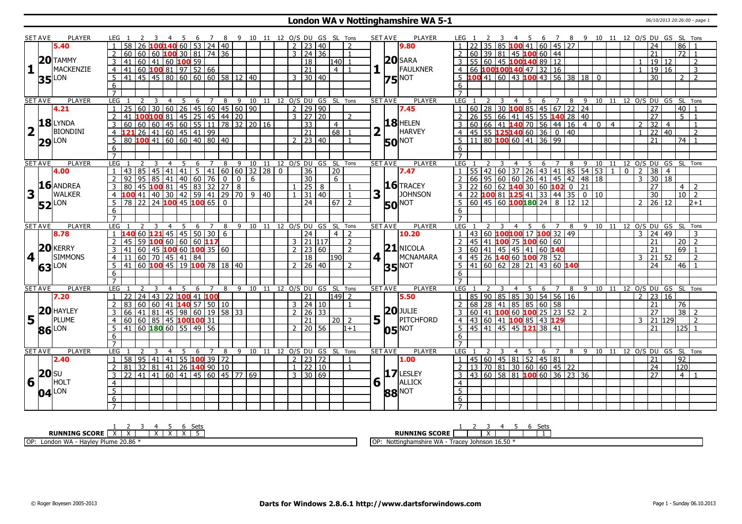#### **London WA v Nottinghamshire WA 5-1** 06/10/2013 20:26:00 - page 1

|                         | <b>SET AVE</b> | PLAYER              | LEG 1               |                                                           |                                                       | 3  4  5  6  7  8  9  10  11  12  O/S  DU  GS  SL  Tons |                |                |    |                |              |                |   |  |                |                     |                                    |                  |                          |                                | <b>SET AVE</b>       | <b>PLAYER</b>            | LEG 1                                                               |                                                           |                         |         |                |   |                      |                |   |                             |                                        |                |                |                |                     |                          |                | 3 4 5 6 7 8 9 10 11 12 O/S DU GS SL Tons   |                |
|-------------------------|----------------|---------------------|---------------------|-----------------------------------------------------------|-------------------------------------------------------|--------------------------------------------------------|----------------|----------------|----|----------------|--------------|----------------|---|--|----------------|---------------------|------------------------------------|------------------|--------------------------|--------------------------------|----------------------|--------------------------|---------------------------------------------------------------------|-----------------------------------------------------------|-------------------------|---------|----------------|---|----------------------|----------------|---|-----------------------------|----------------------------------------|----------------|----------------|----------------|---------------------|--------------------------|----------------|--------------------------------------------|----------------|
|                         |                | 5.40                |                     | 58                                                        |                                                       | LOO <mark>140</mark> 60   53   24   40                 |                |                |    |                |              |                |   |  | $\overline{2}$ |                     | 23   40                            |                  |                          |                                |                      | 9.80                     |                                                                     |                                                           |                         |         |                |   | 85 100 41 60 45 27   |                |   |                             |                                        |                |                |                |                     | 24                       |                | 86                                         |                |
|                         |                |                     |                     | 60                                                        | 60   60   <mark>100</mark> 30   81   74   36          |                                                        |                |                |    |                |              |                |   |  |                |                     | $3 \mid 24 \mid 36$                |                  | $\mathbf{1}$             |                                |                      |                          |                                                                     |                                                           |                         |         |                |   |                      |                |   |                             |                                        |                |                |                | 21                  |                          |                | $\overline{72}$                            |                |
|                         |                | $20$ TAMMY          | 3                   | 41                                                        | 60   41   60   100   59                               |                                                        |                |                |    |                |              |                |   |  |                | 18                  |                                    | $ 140 $ 1        |                          |                                |                      | $20$ SARA                | 3 55 60 45 100140 89 12                                             |                                                           |                         |         |                |   |                      |                |   |                             |                                        |                |                |                |                     | 19 12                    |                |                                            | $\overline{2}$ |
| $\mathbf{1}$            |                | MACKENZIE           | $\overline{4}$      | 41                                                        | 60 100 81 97 52 66                                    |                                                        |                |                |    |                |              |                |   |  |                | $\overline{21}$     |                                    | 4   1            |                          |                                | $1\Gamma$            | FAULKNER                 | 4 66 100100140 47 32 16                                             |                                                           |                         |         |                |   |                      |                |   |                             |                                        |                |                |                |                     | $\overline{19}$          | 16             |                                            | 3              |
|                         |                |                     | 5                   |                                                           | 41 45 45 80 60 60 60 58 12 40                         |                                                        |                |                |    |                |              |                |   |  |                |                     | $3 \mid 30 \mid 40$                |                  |                          |                                |                      | $75$ <sup>NOT</sup>      | $\overline{5}$ 100 41 60 43 100 43 56 38 18 0                       |                                                           |                         |         |                |   |                      |                |   |                             |                                        |                |                |                |                     | $\overline{30}$          |                | 2 <sup>1</sup>                             | $\overline{z}$ |
|                         |                | $35$ <sup>LON</sup> | 6                   |                                                           |                                                       |                                                        |                |                |    |                |              |                |   |  |                |                     |                                    |                  |                          |                                |                      |                          | 6                                                                   |                                                           |                         |         |                |   |                      |                |   |                             |                                        |                |                |                |                     |                          |                |                                            |                |
|                         |                |                     | $\overline{7}$      |                                                           |                                                       |                                                        |                |                |    |                |              |                |   |  |                |                     |                                    |                  |                          |                                |                      |                          | $7^{\circ}$                                                         |                                                           |                         |         |                |   |                      |                |   |                             |                                        |                |                |                |                     |                          |                |                                            |                |
|                         | <b>SET AVE</b> | <b>PLAYER</b>       | <b>LEG</b>          |                                                           | 2                                                     | 3                                                      | $\overline{4}$ | 5              |    | 6 7            | 8            |                |   |  |                |                     | 9 10 11 12 O/S DU GS SL Tons       |                  |                          |                                | <b>SET AVE</b>       | <b>PLAYER</b>            | LEG 1                                                               |                                                           | 3                       |         | $\overline{4}$ |   | 5 6 7                |                | 8 | - 9                         |                                        |                |                |                |                     |                          |                | 10 11 12 O/S DU GS SL Tons                 |                |
|                         |                | 4.21                |                     | 25                                                        | 60                                                    | $30   60   26   45   60   45   60   90$                |                |                |    |                |              |                |   |  |                |                     | 2   29   90                        |                  |                          |                                |                      | 7.45                     |                                                                     | 60   28   30   100 85   45   67   22   24                 |                         |         |                |   |                      |                |   |                             |                                        |                |                |                | 27                  |                          |                | 40                                         |                |
|                         |                |                     | $\overline{2}$      | 41                                                        | $10010081$ 45 25 45 44 20                             |                                                        |                |                |    |                |              |                |   |  |                |                     | 3 27 20                            |                  | $\overline{2}$           |                                |                      |                          | 2 26 55 66 41 45 55 140 28 40                                       |                                                           |                         |         |                |   |                      |                |   |                             |                                        |                |                |                | $\overline{27}$     |                          |                | $5\vert 1$                                 |                |
|                         |                | 18LYNDA             | 3                   | 60                                                        | 60   60   45   60   55   11   78   32   20   16       |                                                        |                |                |    |                |              |                |   |  |                | $\overline{33}$     |                                    | $\overline{4}$   |                          |                                |                      | $18$ HELEN               | $3   60   66   41   140   70   56   44   16$                        |                                                           |                         |         |                |   |                      |                |   | $-4$                        | $\mathbf{0}$                           | $\overline{4}$ |                | 2              |                     | 32                       | $\overline{4}$ |                                            | $\overline{1}$ |
| $\overline{\mathbf{2}}$ | $\mathbf{L}$   | <b>BIONDINI</b>     | $\overline{4}$      | 121 26 41 60 45 41 99                                     |                                                       |                                                        |                |                |    |                |              |                |   |  |                | $\overline{21}$     |                                    | $68$ 1           |                          |                                | $\mathbf{L}$         | HARVEY                   |                                                                     | $4 \overline{)45}$ 55 <b>125140</b> 60 36 0 40            |                         |         |                |   |                      |                |   |                             |                                        |                |                | $\overline{1}$ |                     | $\overline{22}$          | 40             |                                            | $\overline{z}$ |
|                         |                |                     | 5                   |                                                           | 80 100 41 60 60 40 80 40                              |                                                        |                |                |    |                |              |                |   |  |                | $2 \mid 23 \mid 40$ |                                    |                  | $\overline{1}$           |                                |                      |                          | $\frac{1}{5}$ 11 80 100 60 41 36 99                                 |                                                           |                         |         |                |   |                      |                |   |                             |                                        |                |                |                | $\overline{21}$     |                          |                | 74   1                                     |                |
|                         |                | $29$ <sup>LON</sup> |                     |                                                           |                                                       |                                                        |                |                |    |                |              |                |   |  |                |                     |                                    |                  |                          |                                |                      | <b>50 NOT</b>            |                                                                     |                                                           |                         |         |                |   |                      |                |   |                             |                                        |                |                |                |                     |                          |                |                                            |                |
|                         |                |                     | 6<br>$\overline{7}$ |                                                           |                                                       |                                                        |                |                |    |                |              |                |   |  |                |                     |                                    |                  |                          |                                |                      |                          | 6                                                                   |                                                           |                         |         |                |   |                      |                |   |                             |                                        |                |                |                |                     |                          |                |                                            |                |
|                         | <b>SET AVE</b> | <b>PLAYER</b>       | LEG <sub>1</sub>    |                                                           |                                                       | $\overline{3}$                                         |                | $\overline{5}$ |    |                |              |                |   |  |                |                     | 6 7 8 9 10 11 12 0/S DU GS SL Tons |                  |                          |                                | <b>SET AVE</b>       | PLAYER                   | LEG <sub>1</sub>                                                    | $\overline{z}$                                            |                         |         |                |   |                      |                |   |                             | 4 5 6 7 8 9 10 11 12 0/S DU GS SL Tons |                |                |                |                     |                          |                |                                            |                |
|                         |                | 4.00                |                     | 43 85                                                     | -2                                                    | 45 41 41 5 41 60 60 32 28 0                            | $\overline{4}$ |                |    |                |              |                |   |  |                | $\overline{36}$     |                                    | 20               |                          |                                |                      | 7.47                     |                                                                     | 55   42   60   37   26   43   41   85   54   53           | $\overline{\mathbf{3}}$ |         |                |   |                      |                |   |                             |                                        | $\mathbf{1}$   | $\overline{0}$ | $\overline{2}$ |                     | $\overline{38}$          | $\overline{4}$ |                                            |                |
|                         |                |                     |                     |                                                           |                                                       |                                                        |                |                |    |                |              |                |   |  |                |                     |                                    |                  |                          |                                |                      |                          |                                                                     |                                                           |                         |         |                |   |                      |                |   |                             |                                        |                |                | 3              |                     |                          | <sup>18</sup>  |                                            |                |
|                         |                | 16 ANDREA           |                     | 92                                                        | $95 \mid$                                             | 85                                                     |                | $141$ 40 60 76 |    |                | $\mathbf{0}$ | $\overline{0}$ | 6 |  |                | 30                  |                                    | 6                |                          |                                |                      | $16$ TRACEY              | $3 \ 22 \ 60$                                                       | 66 95                                                     |                         | $60$ 60 |                |   |                      |                |   | 26   41   45   42   48   18 |                                        |                |                |                |                     | 30                       |                |                                            |                |
| $\mathbf{3}$            |                | <b>WALKER</b>       | 3                   | 80                                                        | 45 100 81 45 83 32 27 8                               |                                                        |                |                |    |                |              |                |   |  |                | $\overline{25}$ 8   |                                    |                  |                          |                                |                      | <b>JOHNSON</b>           |                                                                     |                                                           |                         |         |                |   | $62$ 140 30 60 102 0 |                |   | 21                          |                                        |                |                |                | $\overline{27}$     |                          |                | $4 \mid 2$                                 |                |
|                         |                |                     | 4                   |                                                           | 41 40 30 42 59 41 29 70 9 40                          |                                                        |                |                |    |                |              |                |   |  | $\mathbf{1}$   |                     | 31 40                              |                  | $\overline{1}$           | 3                              | $\mathbf{L}$         |                          |                                                                     | $4$   22   100 81   125 41   33   44   35   0   10        |                         |         |                |   |                      |                |   |                             |                                        |                |                |                |                     | 30                       |                | $10\overline{2}$                           |                |
|                         |                | <b>52</b> LON       | 5                   |                                                           | 78 22 24 100 45 100 65 0                              |                                                        |                |                |    |                |              |                |   |  |                | $\sqrt{24}$         |                                    | 67   2           |                          |                                |                      | <b>50 NOT</b>            | $\overline{5}$ 60 45 60 <b>100 180</b> 24 8 12 12                   |                                                           |                         |         |                |   |                      |                |   |                             |                                        |                |                |                |                     | $2 \mid 26 \mid 12 \mid$ |                |                                            | $2 + 1$        |
|                         |                |                     | 6                   |                                                           |                                                       |                                                        |                |                |    |                |              |                |   |  |                |                     |                                    |                  |                          |                                |                      |                          | 6                                                                   |                                                           |                         |         |                |   |                      |                |   |                             |                                        |                |                |                |                     |                          |                |                                            |                |
|                         |                |                     | $\overline{7}$      |                                                           |                                                       |                                                        |                |                |    |                |              |                |   |  |                |                     |                                    |                  |                          |                                |                      |                          | $\overline{7}$                                                      |                                                           |                         |         |                |   |                      |                |   |                             |                                        |                |                |                |                     |                          |                |                                            |                |
|                         | <b>SET AVE</b> | <b>PLAYER</b>       | LEG                 |                                                           |                                                       |                                                        | $\overline{4}$ |                |    | 5 6 7 8        |              |                |   |  |                |                     | 9 10 11 12 0/S DU GS SL Tons       |                  |                          |                                | <b>SET AVE</b>       | <b>PLAYER</b>            | LEG <sub>1</sub><br>$1   43   60$ <b>100100</b> 17 <b>100</b> 32 49 |                                                           |                         | 3       |                |   |                      |                |   |                             | 4 5 6 7 8 9 10 11 12 O/S DU GS SL Tons |                |                |                |                     |                          |                |                                            | 3              |
|                         |                |                     |                     |                                                           |                                                       |                                                        |                |                |    |                |              |                |   |  |                |                     |                                    |                  |                          |                                |                      |                          |                                                                     |                                                           |                         |         |                |   |                      |                |   |                             |                                        |                |                |                |                     |                          |                |                                            |                |
|                         |                | 8.78                |                     | $1 \, 140$                                                | 60 <b>121</b> 45 45 50 30 6                           |                                                        |                |                |    |                |              |                |   |  |                | $ 24\rangle$        |                                    | $4 \mid 2$       |                          |                                |                      | 10.20                    |                                                                     |                                                           |                         |         |                |   |                      |                |   |                             |                                        |                |                |                | $3 \mid 24 \mid 49$ |                          |                |                                            |                |
|                         |                |                     | $\overline{2}$      | 45                                                        | 59 100 60 60 60117                                    |                                                        |                |                |    |                |              |                |   |  |                |                     | $3$ 21 117                         |                  | $\overline{\phantom{0}}$ |                                |                      |                          | 2                                                                   | 45   41   100 75   100 60   60                            |                         |         |                |   |                      |                |   |                             |                                        |                |                |                | $\overline{21}$     |                          |                | $20 \mid 2$                                |                |
|                         |                | 20 KERRY            | $\mathcal{E}$       | 41   60   45 <mark>100</mark> 60 <mark>100</mark> 35   60 |                                                       |                                                        |                |                |    |                |              |                |   |  |                |                     | $2 \mid 23 \mid 60$                |                  | $\mathcal{L}$            |                                |                      | $21$ NICOLA              | $3 60 41 45 45 41 60$ 140                                           |                                                           |                         |         |                |   |                      |                |   |                             |                                        |                |                |                | 21                  |                          |                | $69$   1                                   |                |
| $\overline{4}$          |                | <b>SIMMONS</b>      | $\overline{4}$      | 11                                                        | $60$ 70 45 41 84                                      |                                                        |                |                |    |                |              |                |   |  |                | $\overline{18}$     |                                    | 190 <sup>1</sup> |                          | $4$   $\overline{\phantom{0}}$ |                      | MCNAMARA                 |                                                                     | 4 45 26 140 60 100 78 52                                  |                         |         |                |   |                      |                |   |                             |                                        |                |                | २              |                     | 21                       | 52             |                                            | $\overline{2}$ |
|                         |                |                     |                     |                                                           | 41 60 100 45 19 100 78 18 40                          |                                                        |                |                |    |                |              |                |   |  |                |                     | $2 \mid 26 \mid 40$                |                  | 2                        |                                |                      |                          |                                                                     | $5  41   60   62   28   21   43   60   140$               |                         |         |                |   |                      |                |   |                             |                                        |                |                |                |                     | 24                       |                | $46$   1                                   |                |
|                         |                | $63$ <sup>LON</sup> | 6                   |                                                           |                                                       |                                                        |                |                |    |                |              |                |   |  |                |                     |                                    |                  |                          |                                |                      | $35$ <sup>NOT</sup>      | $6\overline{6}$                                                     |                                                           |                         |         |                |   |                      |                |   |                             |                                        |                |                |                |                     |                          |                |                                            |                |
|                         |                |                     | $\overline{7}$      |                                                           |                                                       |                                                        |                |                |    |                |              |                |   |  |                |                     |                                    |                  |                          |                                |                      |                          |                                                                     |                                                           |                         |         |                |   |                      |                |   |                             |                                        |                |                |                |                     |                          |                |                                            |                |
|                         | <b>SET AVE</b> | <b>PLAYER</b>       | LEG <sub>1</sub>    |                                                           |                                                       |                                                        |                | 5              | -6 | $\overline{7}$ |              |                |   |  |                |                     | 8 9 10 11 12 O/S DU GS SL Tons     |                  |                          |                                | <b>SET AVE</b>       | <b>PLAYER</b>            | LEG 1                                                               |                                                           |                         |         |                |   | 4 5 6 7              |                |   |                             | 8 9 10 11                              |                |                |                |                     |                          |                | 12 O/S DU GS SL Tons                       |                |
|                         |                | 7.20                |                     |                                                           | 24   43   22   <mark>100</mark> 41   <mark>100</mark> |                                                        |                |                |    |                |              |                |   |  |                | 21                  |                                    | $149$   2        |                          |                                |                      | 5.50                     | 1   85   90   85   85   30   54   56   16                           |                                                           |                         |         |                |   |                      |                |   |                             |                                        |                |                | $2^{\circ}$    |                     | 23                       | 16             |                                            |                |
|                         |                |                     |                     | 83                                                        | 60   60   41   <mark>140</mark> 57   50   10          |                                                        |                |                |    |                |              |                |   |  |                | 3   24   10         |                                    |                  |                          |                                |                      |                          |                                                                     | 68 28 41 85 85 60 58                                      |                         |         |                |   |                      |                |   |                             |                                        |                |                |                | 21                  |                          |                | $\overline{76}$                            |                |
|                         |                | 20 HAYLEY           |                     | 66 l                                                      | l 41 l                                                | 81   45   98   60   19   58   33                       |                |                |    |                |              |                |   |  | $\overline{2}$ |                     | 26 33                              |                  |                          |                                |                      | $20$ JULIE               |                                                                     | 60   41   <b>100</b>   60   <b>100</b>   25   23   52   2 |                         |         |                |   |                      |                |   |                             |                                        |                |                |                | 27                  |                          |                | $38$   2                                   |                |
| 5                       |                | <b>PLUME</b>        | $\overline{4}$      |                                                           | 60   60   85   45   100   100   31                    |                                                        |                |                |    |                |              |                |   |  |                | $\overline{21}$     |                                    | 20 2             |                          |                                | $5\vert\bar{1}\vert$ | PITCHFORD                |                                                                     | 4 43 60 41 100 85 43 129                                  |                         |         |                |   |                      |                |   |                             |                                        |                |                |                | $\overline{3}$      | 21 129                   |                |                                            | $\overline{2}$ |
|                         |                |                     |                     |                                                           | 41 60 180 60 55 49 56                                 |                                                        |                |                |    |                |              |                |   |  |                |                     | $2 \mid 20 \mid 56$                |                  | $1 + 1$                  |                                |                      |                          | $5 \mid 45 \mid 41 \mid 45 \mid 45 \mid 121 \mid 38 \mid 41$        |                                                           |                         |         |                |   |                      |                |   |                             |                                        |                |                |                |                     | 21                       |                | $125$ 1                                    |                |
|                         |                | 86 LON              | 6                   |                                                           |                                                       |                                                        |                |                |    |                |              |                |   |  |                |                     |                                    |                  |                          |                                |                      | <b>05</b> <sup>NOT</sup> | 6                                                                   |                                                           |                         |         |                |   |                      |                |   |                             |                                        |                |                |                |                     |                          |                |                                            |                |
|                         |                |                     | $\overline{7}$      |                                                           |                                                       |                                                        |                |                |    |                |              |                |   |  |                |                     |                                    |                  |                          |                                |                      |                          | $\overline{7}$                                                      |                                                           |                         |         |                |   |                      |                |   |                             |                                        |                |                |                |                     |                          |                |                                            |                |
|                         | <b>SET AVE</b> | PLAYER              | LEG                 |                                                           |                                                       |                                                        | $\overline{4}$ | -5             | 6  | Z              | 8            |                |   |  |                |                     | 9 10 11 12 O/S DU GS SL Tons       |                  |                          |                                | <b>SET AVE</b>       | <b>PLAYER</b>            | LEG 1                                                               |                                                           |                         | 3       | 4              | 5 | 6                    | $\overline{7}$ |   |                             | 8 9 10 11 12 O/S DU GS SL Tons         |                |                |                |                     |                          |                |                                            |                |
|                         |                | 2.40                | $\mathbf{1}$        | 58                                                        | $95$   41   41   55 <b>100</b> 39   72                |                                                        |                |                |    |                |              |                |   |  |                |                     | $\frac{1}{2}$   23   72            |                  | $\mathbf{1}$             |                                |                      | 1.00                     | $\overline{1}$                                                      | 45 60 45 81 52 45 81                                      |                         |         |                |   |                      |                |   |                             |                                        |                |                |                | 21                  |                          |                | $\overline{92}$                            |                |
|                         |                |                     | 2                   | 81                                                        | 32                                                    | 81   41   26 <b>140</b> 90   10                        |                |                |    |                |              |                |   |  | $\mathbf{1}$   | 22 10               |                                    |                  | $\mathbf{1}$             |                                |                      |                          | $2 \mid 13 \mid 70 \mid 81 \mid 30 \mid 60 \mid 60 \mid 45 \mid 22$ |                                                           |                         |         |                |   |                      |                |   |                             |                                        |                |                |                | $\overline{24}$     |                          |                | 120                                        |                |
|                         | $20$ su        |                     | 3                   | 22                                                        | 41 I                                                  | 41   60   41   45   60   45   77   69                  |                |                |    |                |              |                |   |  |                | 3   30   69         |                                    |                  |                          |                                |                      | $17$ LESLEY              | $3   43   60   58   81   100   60   36   23   36$                   |                                                           |                         |         |                |   |                      |                |   |                             |                                        |                |                |                | $\overline{27}$     |                          |                | 4 <sup>1</sup><br>$\overline{\phantom{0}}$ |                |
| $6\sqrt{1}$             |                | HOLT                | $\overline{4}$      |                                                           |                                                       |                                                        |                |                |    |                |              |                |   |  |                |                     |                                    |                  |                          |                                | $6\sqrt{1}$          | ALLICK                   | $\overline{4}$                                                      |                                                           |                         |         |                |   |                      |                |   |                             |                                        |                |                |                |                     |                          |                |                                            |                |
|                         |                |                     | $\overline{5}$      |                                                           |                                                       |                                                        |                |                |    |                |              |                |   |  |                |                     |                                    |                  |                          |                                |                      |                          | $\overline{5}$                                                      |                                                           |                         |         |                |   |                      |                |   |                             |                                        |                |                |                |                     |                          |                |                                            |                |
|                         |                | $04$ <sup>LON</sup> |                     |                                                           |                                                       |                                                        |                |                |    |                |              |                |   |  |                |                     |                                    |                  |                          |                                |                      | <b>88 NOT</b>            |                                                                     |                                                           |                         |         |                |   |                      |                |   |                             |                                        |                |                |                |                     |                          |                |                                            |                |
|                         |                |                     | $\overline{6}$      |                                                           |                                                       |                                                        |                |                |    |                |              |                |   |  |                |                     |                                    |                  |                          |                                |                      |                          | $6\overline{6}$                                                     |                                                           |                         |         |                |   |                      |                |   |                             |                                        |                |                |                |                     |                          |                |                                            |                |

| Cot<br>JU.                                                | Set:                                                                                       |
|-----------------------------------------------------------|--------------------------------------------------------------------------------------------|
| <b>RUNNING SCORE</b>                                      | <b>RUNNING SCORE</b>                                                                       |
| 20.86<br>OP:<br>- Hayley<br>London WA<br>Plume<br>-141115 | Johnson 16.50 $*$<br><b>IOP</b><br><b>Frace</b><br>Nottinghar<br>amsnire v.<br>VV <i>F</i> |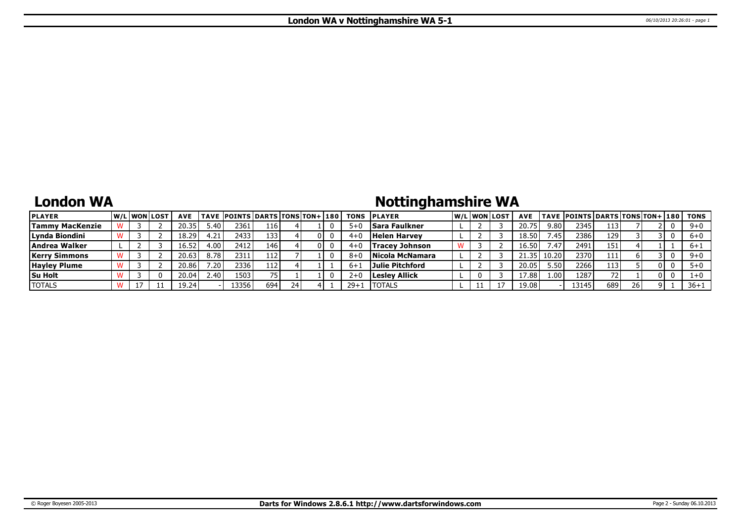## **London WA**

# **Nottinghamshire WA**

| <b>PLAYER</b>          |  | <b>W/Liwonilost</b> | <b>AVE</b> |                  | TAVE POINTS DARTS TONS TON+1180 |     |  | TONS    | <b>IPLAYER</b>        |  | W/Liwonilost | <b>AVE</b> |         | <b>TAVE POINTS DARTS TONS TON+ 180</b> |     |    |     | TONS     |
|------------------------|--|---------------------|------------|------------------|---------------------------------|-----|--|---------|-----------------------|--|--------------|------------|---------|----------------------------------------|-----|----|-----|----------|
| <b>Tammy MacKenzie</b> |  |                     | 20.35      | $5.40^{\circ}$   | 2361                            | 116 |  | $5 + 1$ | lSara Faulkner        |  |              | 20.75      | 9.80    | 2345                                   | 113 |    |     | $9+0$    |
| Lynda Biondini         |  |                     | 18.29      | 4.21             | 2433                            | 133 |  | 4+ւ     | Helen Harvev          |  |              | 18.50      | 7.45    | 2386                                   | 129 |    |     | $6 + 0$  |
| Andrea Walker          |  |                     | 16.52      | 4.00             | 2412                            | 146 |  | $4 + 0$ | <b>Tracev Johnson</b> |  |              | 16.50      | $-47$   | 2491                                   | 151 |    |     | $6+1$    |
| <b>Kerry Simmons</b>   |  |                     | 20.63      | 8.78             | 2311                            | 112 |  |         | Nicola McNamara       |  |              |            | 10.20   | 2370                                   | 111 |    |     | $9 + 0$  |
| <b>Hayley Plume</b>    |  |                     | 20.86'     | 7.20.            | 23361                           | 112 |  |         | Julie Pitchford       |  |              | 20.05      | ا 50. د | 2266                                   | 113 |    | 0 I |          |
| <b>Su Holt</b>         |  |                     | 20.04      | $2.40^{\degree}$ | 1503                            |     |  |         | <b>Lesley Allick</b>  |  |              | 17.88      | 1.001   | 1287                                   |     |    | 0 L |          |
| <b>TOTALS</b>          |  |                     | 19.24      |                  | 133561                          | 694 |  | $29+$   | <b>I</b> TOTALS       |  |              | 19.08      |         | 13145                                  | 689 | 26 |     | $36 + 1$ |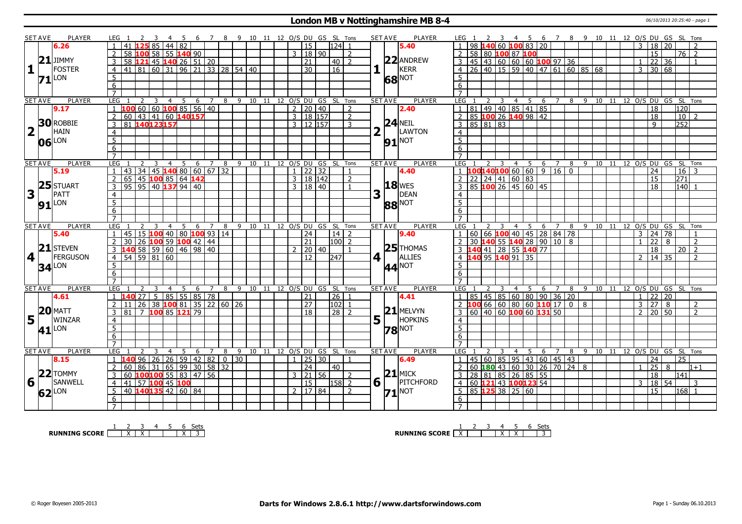#### **London MB v Nottinghamshire MB 8-4** 06/10/2013 20:25:40 - page 1

|                                   | SET AVE        | PLAYER              |                     | LEG 1                                               |                |                         |                                                                       |                |                |     |                |                |   |                          |                               |  |  |                          |                    | 6 7 8 9 10 11 12 O/S DU GS SL Tons     |                | SET AVE               | PLAYER                   |                 |                                |   |                |                |                                                                                                      |                                 |  |             |  |                     | 4 5 6 7 8 9 10 11 12 O/S DU GS SL Tons |                 |                 |                                          |  |
|-----------------------------------|----------------|---------------------|---------------------|-----------------------------------------------------|----------------|-------------------------|-----------------------------------------------------------------------|----------------|----------------|-----|----------------|----------------|---|--------------------------|-------------------------------|--|--|--------------------------|--------------------|----------------------------------------|----------------|-----------------------|--------------------------|-----------------|--------------------------------|---|----------------|----------------|------------------------------------------------------------------------------------------------------|---------------------------------|--|-------------|--|---------------------|----------------------------------------|-----------------|-----------------|------------------------------------------|--|
|                                   |                | 6.26                |                     | 41                                                  |                |                         | $\overline{85}$                                                       |                | 44 82          |     |                |                |   |                          |                               |  |  | $\overline{15}$          | $124$ 1            |                                        |                |                       | 5.40                     |                 |                                |   |                |                | 140 60 100 83 20                                                                                     |                                 |  |             |  |                     | 18                                     | 20              |                 |                                          |  |
|                                   |                |                     | 2                   |                                                     |                |                         | 58 100 58 55 140 90                                                   |                |                |     |                |                |   |                          |                               |  |  | 3   18   90              |                    | $\overline{2}$                         |                |                       |                          | <sup>2</sup>    | 58 80 100 87 100               |   |                |                |                                                                                                      |                                 |  |             |  |                     | $\overline{15}$                        |                 |                 | 76   2                                   |  |
|                                   |                | $21$ JIMMY          | $\overline{3}$      |                                                     |                |                         | 58 121 45 140 26 51 20                                                |                |                |     |                |                |   |                          |                               |  |  | $\overline{21}$          |                    | 40   2                                 |                |                       | 22 ANDREW                | $\overline{3}$  |                                |   |                |                |                                                                                                      |                                 |  |             |  |                     | $\overline{22}$                        | $\overline{36}$ |                 | $\overline{1}$                           |  |
| 1                                 |                | FOSTER              | $\overline{4}$      |                                                     |                |                         |                                                                       |                |                |     |                |                |   |                          | 41 81 60 31 96 21 33 28 54 40 |  |  | $\overline{30}$          | $\overline{16}$    |                                        |                |                       | KERR                     | $\overline{4}$  |                                |   |                |                | 45 43 60 60 60 100 97 36<br>26 40 15 59 40 47 61 60 85 68                                            |                                 |  |             |  |                     | $3 \mid 30 \mid 68$                    |                 |                 |                                          |  |
|                                   |                | LON                 | $5\overline{)}$     |                                                     |                |                         |                                                                       |                |                |     |                |                |   |                          |                               |  |  |                          |                    |                                        |                |                       |                          | 5               |                                |   |                |                |                                                                                                      |                                 |  |             |  |                     |                                        |                 |                 |                                          |  |
|                                   | 71             |                     | 6                   |                                                     |                |                         |                                                                       |                |                |     |                |                |   |                          |                               |  |  |                          |                    |                                        |                |                       | <b>68</b> <sup>NOT</sup> | 6               |                                |   |                |                |                                                                                                      |                                 |  |             |  |                     |                                        |                 |                 |                                          |  |
|                                   |                |                     | $\overline{7}$      |                                                     |                |                         |                                                                       |                |                |     |                |                |   |                          |                               |  |  |                          |                    |                                        |                |                       |                          |                 |                                |   |                |                |                                                                                                      |                                 |  |             |  |                     |                                        |                 |                 |                                          |  |
|                                   | <b>SET AVE</b> | <b>PLAYER</b>       | <b>LEG</b>          |                                                     | 2              | $\overline{\mathbf{3}}$ |                                                                       |                |                |     |                |                |   |                          |                               |  |  |                          |                    | 4 5 6 7 8 9 10 11 12 O/S DU GS SL Tons | <b>SET AVE</b> |                       | <b>PLAYER</b>            | LEG 1           | $\overline{2}$                 |   |                |                |                                                                                                      |                                 |  |             |  |                     |                                        |                 |                 |                                          |  |
|                                   |                | 9.17                |                     | 1 100 60 60 100 85 56 40                            |                |                         |                                                                       |                |                |     |                |                |   |                          |                               |  |  | $2$   20   40            |                    | 2                                      |                |                       | 2.40                     |                 |                                |   |                |                | 1 81 49 40 85 41 85                                                                                  |                                 |  |             |  |                     | $\overline{18}$                        |                 | 120             | 3 4 5 6 7 8 9 10 11 12 O/S DU GS SL Tons |  |
|                                   |                |                     |                     |                                                     |                |                         |                                                                       |                |                |     |                |                |   |                          |                               |  |  | 3   18   157             |                    |                                        |                |                       |                          |                 |                                |   |                |                | 85 100 26 140 98 42                                                                                  |                                 |  |             |  |                     |                                        |                 |                 | $\overline{z}$                           |  |
|                                   |                | 30 ROBBIE           | $\sqrt{2}$          | 60 43 41 60 140157<br>81 140 123 157                |                |                         |                                                                       |                |                |     |                |                |   |                          |                               |  |  |                          |                    | 2                                      |                |                       | $24$ NEIL                |                 |                                |   |                |                |                                                                                                      |                                 |  |             |  |                     | 18                                     |                 | 10 <sup>1</sup> |                                          |  |
|                                   |                | <b>HAIN</b>         | $\overline{3}$      |                                                     |                |                         |                                                                       |                |                |     |                |                |   |                          |                               |  |  | $3 \mid 12 \mid 157$     |                    | 3                                      |                |                       | LAWTON                   | $\overline{3}$  | 858183                         |   |                |                |                                                                                                      |                                 |  |             |  |                     | 9                                      |                 | 252             |                                          |  |
|                                   | $2\lceil$      |                     | $\overline{4}$      |                                                     |                |                         |                                                                       |                |                |     |                |                |   |                          |                               |  |  |                          |                    |                                        |                |                       |                          | $\overline{4}$  |                                |   |                |                |                                                                                                      |                                 |  |             |  |                     |                                        |                 |                 |                                          |  |
|                                   |                | $06$ <sup>LON</sup> | $\overline{5}$      |                                                     |                |                         |                                                                       |                |                |     |                |                |   |                          |                               |  |  |                          |                    |                                        |                |                       | <b>91 NOT</b>            | $\overline{5}$  |                                |   |                |                |                                                                                                      |                                 |  |             |  |                     |                                        |                 |                 |                                          |  |
|                                   |                |                     | 6                   |                                                     |                |                         |                                                                       |                |                |     |                |                |   |                          |                               |  |  |                          |                    |                                        |                |                       |                          | 6               |                                |   |                |                |                                                                                                      |                                 |  |             |  |                     |                                        |                 |                 |                                          |  |
|                                   |                |                     | $\overline{7}$      |                                                     |                |                         |                                                                       |                |                |     |                |                |   |                          |                               |  |  |                          |                    |                                        |                |                       |                          | $\overline{7}$  |                                |   |                |                |                                                                                                      |                                 |  |             |  |                     |                                        |                 |                 |                                          |  |
|                                   | <b>SET AVE</b> | <b>PLAYER</b>       | <b>LEG</b>          |                                                     |                |                         | 3                                                                     | $\overline{4}$ | $\overline{5}$ | 6   |                | $\overline{z}$ | 8 |                          |                               |  |  |                          |                    | 9 10 11 12 O/S DU GS SL Tons           |                | <b>SET AVE</b>        | <b>PLAYER</b>            | LEG             |                                | 3 |                |                | 4 5 6                                                                                                |                                 |  | 7 8 9 10 11 |  |                     |                                        |                 |                 | 12 O/S DU GS SL Tons                     |  |
|                                   |                | 5.19                | -1                  | 43                                                  |                |                         | 34 45 <b>140</b> 80 60 67 32<br>45 <b>100</b> 85 64 <b>142</b>        |                |                |     |                |                |   |                          |                               |  |  | $1 \mid 22 \mid 32$      |                    |                                        |                |                       | 4.40                     |                 |                                |   |                |                | 1 <b>100140100</b> 60 60 9 16 0<br>2 2 2 24 41 60 83                                                 |                                 |  |             |  |                     | 24                                     |                 | 16              | $\overline{3}$                           |  |
|                                   |                |                     | 2                   | $\overline{65}$                                     |                |                         |                                                                       |                |                |     |                |                |   |                          |                               |  |  | 3   18   142             |                    | $\overline{z}$                         |                |                       |                          |                 |                                |   |                |                |                                                                                                      |                                 |  |             |  |                     | $\overline{15}$                        |                 | 271             |                                          |  |
|                                   |                | $25$ STUART         | $\mathbf{3}$        | $95$ 95 40 137 94 40                                |                |                         |                                                                       |                |                |     |                |                |   |                          |                               |  |  | 3   18   40              |                    | $\mathbf{1}$                           |                |                       | $18$ WES                 |                 |                                |   |                |                | 85 100 26 45 60 45                                                                                   |                                 |  |             |  |                     | $\overline{18}$                        |                 | 140             | $\overline{1}$                           |  |
| $\mathbf{3}$                      | Lτ             | PATT                | $\overline{4}$      |                                                     |                |                         |                                                                       |                |                |     |                |                |   |                          |                               |  |  |                          |                    |                                        | 3              |                       | DEAN                     | $\overline{4}$  |                                |   |                |                |                                                                                                      |                                 |  |             |  |                     |                                        |                 |                 |                                          |  |
|                                   |                | <b>91</b> LON       | $\overline{5}$      |                                                     |                |                         |                                                                       |                |                |     |                |                |   |                          |                               |  |  |                          |                    |                                        |                |                       | <b>88 NOT</b>            | $\overline{5}$  |                                |   |                |                |                                                                                                      |                                 |  |             |  |                     |                                        |                 |                 |                                          |  |
|                                   |                |                     | 6                   |                                                     |                |                         |                                                                       |                |                |     |                |                |   |                          |                               |  |  |                          |                    |                                        |                |                       |                          | 6               |                                |   |                |                |                                                                                                      |                                 |  |             |  |                     |                                        |                 |                 |                                          |  |
|                                   |                |                     | $\overline{7}$      |                                                     |                |                         |                                                                       |                |                |     |                |                |   |                          |                               |  |  |                          |                    |                                        |                |                       |                          |                 |                                |   |                |                |                                                                                                      |                                 |  |             |  |                     |                                        |                 |                 |                                          |  |
| <b>SET AVE</b>                    |                | <b>PLAYER</b>       | <b>LEG</b>          |                                                     |                |                         |                                                                       | 4              | -5             | 6   |                |                | 8 |                          |                               |  |  |                          |                    | 9 10 11 12 O/S DU GS SL Tons           |                | <b>SET AVE</b>        | <b>PLAYER</b>            | LEG             |                                |   | 4              | - 5            | 6                                                                                                    |                                 |  |             |  |                     |                                        |                 |                 | 8 9 10 11 12 O/S DU GS SL Tons           |  |
|                                   |                |                     |                     |                                                     |                |                         |                                                                       |                |                |     |                |                |   |                          |                               |  |  |                          |                    |                                        |                |                       |                          |                 |                                |   |                |                |                                                                                                      |                                 |  |             |  |                     |                                        |                 |                 |                                          |  |
|                                   |                | 5.40                | $\overline{1}$      |                                                     |                |                         |                                                                       |                |                |     |                |                |   |                          |                               |  |  | 24                       |                    | 14   2                                 |                |                       | 9.40                     |                 |                                |   |                |                |                                                                                                      |                                 |  |             |  | $3 \mid 24 \mid 78$ |                                        |                 |                 |                                          |  |
|                                   |                |                     | 2                   | 45 15 100 40 80 100 93 14<br>30 26 100 59 100 42 44 |                |                         |                                                                       |                |                |     |                |                |   |                          |                               |  |  | 21                       | 100 <sub>1</sub>   |                                        |                |                       |                          | $\overline{2}$  |                                |   |                |                |                                                                                                      | 00 66 <b>100</b> 40 45 28 84 78 |  |             |  |                     | 22                                     | $\mathsf{R}$    |                 | $\overline{2}$                           |  |
|                                   |                | $21$ STEVEN         |                     |                                                     |                |                         |                                                                       |                |                |     |                |                |   |                          |                               |  |  | $2 \mid 20 \mid 40$      |                    |                                        |                |                       | $25$ <sup>THOMAS</sup>   |                 |                                |   |                |                |                                                                                                      |                                 |  |             |  |                     | 18                                     |                 |                 | $20$   2                                 |  |
| 4                                 |                | FERGUSON            |                     |                                                     |                |                         |                                                                       |                |                |     |                |                |   |                          |                               |  |  | 12                       | 247                |                                        |                | 4 1                   | ALLIES                   |                 |                                |   |                |                | $\frac{1}{3}$ $\frac{140}{140}$ $\frac{41}{140}$ $\frac{28}{140}$ $\frac{55}{140}$ $\frac{140}{135}$ |                                 |  |             |  |                     | $2 \mid 14 \mid 35$                    |                 |                 | $\overline{2}$                           |  |
|                                   |                |                     | 5 <sup>5</sup>      |                                                     |                |                         |                                                                       |                |                |     |                |                |   |                          |                               |  |  |                          |                    |                                        |                |                       |                          | 5 <sup>5</sup>  |                                |   |                |                |                                                                                                      |                                 |  |             |  |                     |                                        |                 |                 |                                          |  |
|                                   |                | $34$ <sup>LON</sup> | 6                   |                                                     |                |                         |                                                                       |                |                |     |                |                |   |                          |                               |  |  |                          |                    |                                        |                |                       | <b>44</b> <sup>NOT</sup> | $6\overline{6}$ |                                |   |                |                |                                                                                                      |                                 |  |             |  |                     |                                        |                 |                 |                                          |  |
|                                   |                |                     | $\overline{7}$      |                                                     |                |                         |                                                                       |                |                |     |                |                |   |                          |                               |  |  |                          |                    |                                        |                |                       |                          | $\overline{7}$  |                                |   |                |                |                                                                                                      |                                 |  |             |  |                     |                                        |                 |                 |                                          |  |
|                                   | <b>SET AVE</b> | PLAYER              | <b>LEG</b>          |                                                     | $\overline{2}$ |                         | $\overline{3}$                                                        | $\overline{4}$ | 5              | 6   | $\overline{7}$ |                |   |                          |                               |  |  |                          |                    | 8 9 10 11 12 0/S DU GS SL Tons         | <b>SET AVE</b> |                       | <b>PLAYER</b>            | <b>LEG</b>      |                                | 3 | $\overline{4}$ | $\overline{5}$ |                                                                                                      |                                 |  |             |  |                     |                                        |                 |                 | 6 7 8 9 10 11 12 0/S DU GS SL Tons       |  |
|                                   |                | 4.61                |                     | $1\overline{140}$ 27                                |                |                         | 5   85   55   85   78                                                 |                |                |     |                |                |   |                          |                               |  |  | $\overline{21}$          | $\vert 26 \vert 1$ |                                        |                |                       | 4.41                     |                 |                                |   |                |                | $1   85   45   85   60   80   90   36   20$                                                          |                                 |  |             |  |                     | $1$   22   20                          |                 |                 |                                          |  |
|                                   |                |                     | 2 <sup>1</sup>      | l 11                                                |                |                         |                                                                       |                |                |     |                |                |   | 26 38 100 81 35 22 60 26 |                               |  |  | 27                       | 102                | $\overline{1}$                         |                |                       |                          |                 |                                |   |                |                | 2 <b>100</b> 66 60 80 60 <b>110</b> 17 0 8                                                           |                                 |  |             |  |                     | $3 \mid 27$                            | 8               |                 | $\overline{2}$                           |  |
|                                   |                | <b>MATT</b>         | $\overline{3}$      | 81                                                  | $7^{\circ}$    |                         | 100 85 121 79                                                         |                |                |     |                |                |   |                          |                               |  |  | 18                       | l 28 l             | -2                                     |                |                       | $21$ MELVYN              |                 |                                |   |                |                | $3   60   40   60   100   60   131   50$                                                             |                                 |  |             |  |                     | $2 \mid 20 \mid 50$                    |                 |                 | $\overline{\phantom{a}}$                 |  |
|                                   |                | WINZAR              | $\overline{4}$      |                                                     |                |                         |                                                                       |                |                |     |                |                |   |                          |                               |  |  |                          |                    |                                        |                |                       | HOPKINS                  | $\overline{4}$  |                                |   |                |                |                                                                                                      |                                 |  |             |  |                     |                                        |                 |                 |                                          |  |
|                                   |                |                     | 5                   |                                                     |                |                         |                                                                       |                |                |     |                |                |   |                          |                               |  |  |                          |                    |                                        |                | $5\vert$ <sup>T</sup> |                          | $5\overline{5}$ |                                |   |                |                |                                                                                                      |                                 |  |             |  |                     |                                        |                 |                 |                                          |  |
|                                   |                | 41 LON              | 6                   |                                                     |                |                         |                                                                       |                |                |     |                |                |   |                          |                               |  |  |                          |                    |                                        |                |                       | <b>78</b> <sup>NOT</sup> | 6               |                                |   |                |                |                                                                                                      |                                 |  |             |  |                     |                                        |                 |                 |                                          |  |
|                                   |                |                     | $\overline{7}$      |                                                     |                |                         |                                                                       |                |                |     |                |                |   |                          |                               |  |  |                          |                    |                                        |                |                       |                          | $\overline{7}$  |                                |   |                |                |                                                                                                      |                                 |  |             |  |                     |                                        |                 |                 |                                          |  |
|                                   | <b>SET AVE</b> | PLAYER              | <b>LEG</b>          |                                                     |                |                         | 3                                                                     | 4              | -5             | - 6 | 7              |                | 8 |                          |                               |  |  |                          |                    | 9 10 11 12 O/S DU GS SL Tons           |                | <b>SET AVE</b>        | <b>PLAYER</b>            | LEG             |                                |   | 4              | -5             | -6                                                                                                   |                                 |  |             |  |                     |                                        |                 |                 | 7 8 9 10 11 12 O/S DU GS SL Tons         |  |
|                                   |                | 8.15                | $\overline{1}$      |                                                     |                |                         |                                                                       |                |                |     |                |                |   | $0 \mid 30$              |                               |  |  | $1 \mid 25 \mid 30$      |                    | $\mathbf{1}$                           |                |                       | 6.49                     |                 |                                |   |                |                |                                                                                                      |                                 |  |             |  |                     | 24                                     |                 | 25              |                                          |  |
|                                   |                |                     | 2                   | 60                                                  |                |                         |                                                                       |                |                |     |                |                |   |                          |                               |  |  | $\overline{24}$          | 40                 |                                        |                |                       |                          |                 |                                |   |                |                |                                                                                                      |                                 |  |             |  |                     | 25                                     | 8               |                 | $1 + 1$                                  |  |
|                                   |                | $22$ TOMMY          | $\overline{3}$      |                                                     |                |                         | 96   26   26   59   42   82   0<br>  86   31   65   99   30   58   32 |                |                |     |                |                |   |                          |                               |  |  | $3 \mid 21 \mid 56 \mid$ |                    | $\overline{z}$                         |                |                       | $21$ MICK                | 3               |                                |   |                |                | 45 60 85 95 43 60 45 43<br>60 <b>180</b> 43 60 30 26 70 24 8                                         |                                 |  |             |  |                     | $\overline{18}$                        |                 | 141             |                                          |  |
|                                   |                | SANWELL             | $\overline{4}$      | 60 100 100 55 83 47 56<br>41                        |                |                         |                                                                       |                |                |     |                |                |   |                          |                               |  |  | $\overline{15}$          |                    |                                        |                |                       | PITCHFORD                | $\overline{4}$  |                                |   |                |                | 28 81 85 26 85 55                                                                                    |                                 |  |             |  | 3                   |                                        | 54              |                 | 3                                        |  |
| $15\frac{ 20 }{4}$<br>$6\sqrt{ }$ |                |                     |                     |                                                     |                |                         | 57 100 45 100                                                         |                |                |     |                |                |   |                          |                               |  |  |                          | $ 158 $ 2          | $\overline{z}$                         |                | $6\sqrt{ }$           |                          |                 |                                |   |                |                | 60 121 43 100123 54                                                                                  |                                 |  |             |  |                     | 18                                     |                 |                 |                                          |  |
|                                   |                | $62$ <sup>LON</sup> | 5                   | $\frac{1}{40}$ 140135 42 60 84                      |                |                         |                                                                       |                |                |     |                |                |   |                          |                               |  |  | 2   17   84              |                    |                                        |                |                       | $71$ <sup>NOT</sup>      |                 | $\overline{5}$ 85 125 38 25 60 |   |                |                |                                                                                                      |                                 |  |             |  |                     | $\overline{15}$                        |                 | $168$ 1         |                                          |  |
|                                   |                |                     | 6<br>$\overline{7}$ |                                                     |                |                         |                                                                       |                |                |     |                |                |   |                          |                               |  |  |                          |                    |                                        |                |                       |                          | 6               |                                |   |                |                |                                                                                                      |                                 |  |             |  |                     |                                        |                 |                 |                                          |  |

**RUNNING SCORE**  $\begin{array}{|c|c|c|c|c|}\n\hline\n & 2 & 3 & 4 & 5 & 6 & \text{Sets} \\
\hline\n\end{array}$ 

**RUNNING SCORE**  $\begin{array}{|c|c|c|c|c|}\n\hline\n\textbf{1} & \textbf{2} & \textbf{3} & \textbf{4} & \textbf{5} & \textbf{6} & \textbf{Sets} \\
\hline\n\textbf{5} & \textbf{5} & \textbf{7} & \textbf{8} & \textbf{1} & \textbf{1} & \textbf{1} & \textbf{1} & \textbf{1} & \textbf{1} \\
\hline\n\textbf{6} & \textbf{7} & \textbf{8} & \textbf{1} & \textbf{1} & \textbf{1} & \textbf{1} & \textbf{1} &$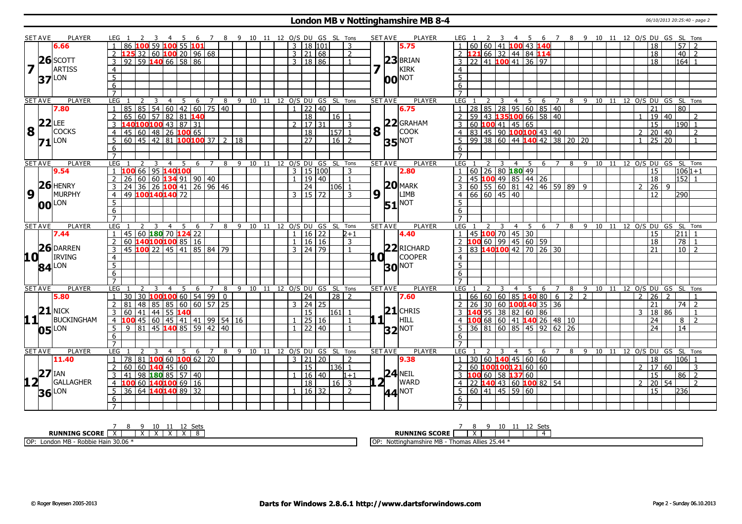#### **London MB v Nottinghamshire MB 8-4** 06/10/2013 20:25:40 - page 2

|                         | <b>SET AVE</b>      | PLAYER        | LEG <sub>1</sub>     |                | $-4$                                         | 5                                |     |                |   |               |       |              |                      | 6 7 8 9 10 11 12 O/S DU GS SL Tons | <b>SET AVE</b>                        | <b>PLAYER</b>            | LEG 1                                                                                                                            | $-4$                                 |                      |                |     |                 |       |                | 5 6 7 8 9 10 11 12 O/S DU GS SL Tons |                     |                |
|-------------------------|---------------------|---------------|----------------------|----------------|----------------------------------------------|----------------------------------|-----|----------------|---|---------------|-------|--------------|----------------------|------------------------------------|---------------------------------------|--------------------------|----------------------------------------------------------------------------------------------------------------------------------|--------------------------------------|----------------------|----------------|-----|-----------------|-------|----------------|--------------------------------------|---------------------|----------------|
|                         |                     | 6.66          | $\overline{1}$       |                | 86 100 59 100 55 101                         |                                  |     |                |   |               |       |              | $3 \mid 18 \mid 101$ | 3                                  |                                       | 5.75                     | 60   60   41   100   43   140                                                                                                    |                                      |                      |                |     |                 |       |                | 18                                   | $57$   2            |                |
|                         |                     |               |                      |                | 2 $\sqrt{125}$ 32 60 $\sqrt{100}$ 20 96 68   |                                  |     |                |   |               |       |              | 3   21   68          | 2                                  |                                       |                          | $2\;121$                                                                                                                         | 66 32 44 84 114                      |                      |                |     |                 |       |                | 18                                   | 40                  | $\overline{2}$ |
|                         |                     | $26$ SCOTT    |                      |                | $3 \mid 92 \mid 59$ 140 66 58 86             |                                  |     |                |   |               |       |              | 3   18   86          | $\mathbf{1}$                       |                                       | $23$ BRIAN               | $\sqrt{22}$ 41 <b>100</b> 41 36 97                                                                                               |                                      |                      |                |     |                 |       |                | 18                                   | $164$ 1             |                |
| $\overline{\mathbf{z}}$ |                     | <b>ARTISS</b> | $\overline{4}$       |                |                                              |                                  |     |                |   |               |       |              |                      |                                    | 7                                     | KIRK                     | $\overline{4}$                                                                                                                   |                                      |                      |                |     |                 |       |                |                                      |                     |                |
|                         |                     |               |                      |                |                                              |                                  |     |                |   |               |       |              |                      |                                    |                                       |                          | 5                                                                                                                                |                                      |                      |                |     |                 |       |                |                                      |                     |                |
|                         | 37                  | LON           | 5                    |                |                                              |                                  |     |                |   |               |       |              |                      |                                    |                                       | $ 00 $ NOT               |                                                                                                                                  |                                      |                      |                |     |                 |       |                |                                      |                     |                |
|                         |                     |               | 6                    |                |                                              |                                  |     |                |   |               |       |              |                      |                                    |                                       |                          | 6                                                                                                                                |                                      |                      |                |     |                 |       |                |                                      |                     |                |
|                         |                     |               | $\overline{7}$       |                |                                              |                                  |     |                |   |               |       |              |                      |                                    |                                       |                          |                                                                                                                                  |                                      |                      |                |     |                 |       |                |                                      |                     |                |
|                         | <b>SET AVE</b>      | <b>PLAYER</b> | LEG                  | $\overline{2}$ | 3                                            | - 5<br>$\overline{4}$            | 6   | 7              | 8 |               |       |              |                      | 9 10 11 12 O/S DU GS SL Tons       | <b>SET AVE</b>                        | <b>PLAYER</b>            | LEG<br>3                                                                                                                         | 4 5                                  | 6                    |                | 8 9 |                 |       |                | 10 11 12 O/S DU GS SL Tons           |                     |                |
|                         |                     | 7.80          | 85<br>$\overline{1}$ |                | 85 54 60 42 60 75 40                         |                                  |     |                |   |               |       | $\mathbf{1}$ | 22 40                |                                    |                                       | 6.75                     | 28 85 28 95 60 85 40<br>59 43 <b>135100</b> 66 58 40                                                                             |                                      |                      |                |     |                 |       |                | 21                                   | 80                  |                |
|                         |                     |               | 2                    |                | $65$ 60 57 82 81 140                         |                                  |     |                |   |               |       |              | 18                   | 16 1                               |                                       |                          |                                                                                                                                  |                                      |                      |                |     |                 |       | $\mathbf{1}$   | 19 40                                |                     | $\mathcal{L}$  |
|                         | $22$ LEE            |               |                      |                | 3 140100100 43 87 31                         |                                  |     |                |   |               |       |              | $2 \mid 17 \mid 31$  | 3                                  |                                       | $22$ GRAHAM              | 60 <b>100</b> 41 45 65<br>3                                                                                                      |                                      |                      |                |     |                 |       |                | $\overline{15}$                      | $190$ 1             |                |
|                         | $8\sqrt{1}$         | <b>COCKS</b>  |                      |                | 4   45   60   48   26   100   65             |                                  |     |                |   |               |       |              | $\sqrt{18}$          | 157 1                              | $\mathbf{8}$ $\overline{\phantom{0}}$ | <b>COOK</b>              | $ 83 $ 45 90 <b>100100</b> 43 40<br>$\overline{4}$                                                                               |                                      |                      |                |     |                 |       | $\overline{2}$ | 20                                   | $ 40\rangle$        | 2              |
|                         | 71                  | LON           | 5 <sup>5</sup>       |                | $60   45   42   81$ 100100 37 2 18           |                                  |     |                |   |               |       |              | $\overline{27}$      | $16 \mid 2$                        |                                       | $35$ <sup>NOT</sup>      | $99 \mid 38 \mid 60 \mid 44$ 140 42 38 20 20<br>5                                                                                |                                      |                      |                |     |                 |       | $\overline{1}$ | 25                                   | $\overline{20}$     | $\overline{1}$ |
|                         |                     |               | 6                    |                |                                              |                                  |     |                |   |               |       |              |                      |                                    |                                       |                          | 6                                                                                                                                |                                      |                      |                |     |                 |       |                |                                      |                     |                |
|                         |                     |               | $\overline{7}$       |                |                                              |                                  |     |                |   |               |       |              |                      |                                    |                                       |                          | $\overline{7}$                                                                                                                   |                                      |                      |                |     |                 |       |                |                                      |                     |                |
|                         | <b>SET AVE</b>      | PLAYER        | LEG                  | 2              | $\overline{3}$                               | $\overline{4}$<br>5              |     |                |   |               |       |              |                      | 6 7 8 9 10 11 12 O/S DU GS SL Tons | <b>SET AVE</b>                        | PLAYER                   | LEG <sub>1</sub><br>$\overline{3}$                                                                                               | 4 5                                  | 6 7                  |                |     |                 |       |                | 8 9 10 11 12 O/S DU GS SL Tons       |                     |                |
|                         |                     | 9.54          |                      |                | 1 100 66 95 140 100                          |                                  |     |                |   |               |       |              | $3 \mid 15 \mid 100$ | 3                                  |                                       | 2.80                     | 60 26 80 180 49                                                                                                                  |                                      |                      |                |     |                 |       |                | 15                                   | $106 1+1$           |                |
|                         |                     |               |                      |                | $2 \mid 26 \mid 60 \mid 60$ 134 91 90 40     |                                  |     |                |   |               |       |              | 1   19   40          | $\overline{1}$                     |                                       |                          | 45 100 49 85 44 26<br>$\overline{2}$                                                                                             |                                      |                      |                |     |                 |       |                | $\overline{18}$                      | $152$ 1             |                |
|                         |                     | $26$ HENRY    | 3                    |                | 24 36 26 100 41 26 96 46                     |                                  |     |                |   |               |       |              | 24                   | $106$   1                          |                                       | $20$ MARK                | $60$   55   60   81   42   46   59   89   9                                                                                      |                                      |                      |                |     |                 |       | 2              | $26 \mid 9$                          |                     |                |
| $\overline{9}$          |                     | <b>MURPHY</b> | $\overline{4}$       |                | 49 100 140 140 72                            |                                  |     |                |   |               |       | 3            | 15 72                | 3                                  | $9^{1}$                               | <b>LIMB</b>              | $66$ 60 45 40<br>4                                                                                                               |                                      |                      |                |     |                 |       |                | 12                                   | 290I                |                |
|                         | 00                  | LON           | 5                    |                |                                              |                                  |     |                |   |               |       |              |                      |                                    |                                       | <b>51</b> <sup>NOT</sup> | $5\overline{5}$                                                                                                                  |                                      |                      |                |     |                 |       |                |                                      |                     |                |
|                         |                     |               | 6                    |                |                                              |                                  |     |                |   |               |       |              |                      |                                    |                                       |                          | 6                                                                                                                                |                                      |                      |                |     |                 |       |                |                                      |                     |                |
|                         |                     |               | $\overline{7}$       |                |                                              |                                  |     |                |   |               |       |              |                      |                                    |                                       |                          | $\overline{7}$                                                                                                                   |                                      |                      |                |     |                 |       |                |                                      |                     |                |
|                         | <b>SET AVE</b>      | PLAYER        | <b>LEG</b>           |                | $\overline{3}$                               | $\overline{4}$<br>5 <sup>5</sup> | 6   | $\overline{7}$ | 8 | $9 \t10 \t11$ |       |              |                      | 12 O/S DU GS SL Tons               | <b>SET AVE</b>                        | <b>PLAYER</b>            | LEG                                                                                                                              | $\overline{4}$<br>- 5                | 6<br>$7\overline{ }$ | 8              | 9   | 10              | 11    |                | 12 O/S DU GS SL Tons                 |                     |                |
|                         |                     | 7.44          | $\overline{1}$       |                | 45 60 180 70 124 22                          |                                  |     |                |   |               |       |              | $16$ 22              | 2+1                                |                                       | 4.40                     | 45 100 70 45 30                                                                                                                  |                                      |                      |                |     |                 |       |                | 15                                   | 211                 |                |
|                         |                     |               | $\overline{2}$       |                | 60 140 100 100 85 16                         |                                  |     |                |   |               |       |              | 1   16   16          | 3                                  |                                       |                          |                                                                                                                                  |                                      |                      |                |     |                 |       |                | 18                                   | $\overline{78}$     |                |
|                         | 26                  | <b>DARREN</b> |                      |                | $3   45   100   22   45   41   85   84   79$ |                                  |     |                |   |               |       |              | $3 \mid 24 \mid 79$  | $\mathbf{1}$                       |                                       | $22$ RICHARD             | $\frac{2}{3}$ $\frac{100}{83}$ $\frac{60}{99}$ $\frac{95}{45}$ $\frac{60}{60}$ $\frac{59}{59}$<br>3 83 <b>140100</b> 42 70 26 30 |                                      |                      |                |     |                 |       |                | 21                                   | $10$   2            |                |
| <b>10</b> LON           |                     | <b>IRVING</b> | $\overline{4}$       |                |                                              |                                  |     |                |   |               |       |              |                      |                                    | .OI 1                                 | <b>COOPER</b>            | $\overline{4}$                                                                                                                   |                                      |                      |                |     |                 |       |                |                                      |                     |                |
|                         | $84$ <sup>LON</sup> |               | $\overline{5}$       |                |                                              |                                  |     |                |   |               |       |              |                      |                                    |                                       | <b>30 NOT</b>            | $\overline{5}$                                                                                                                   |                                      |                      |                |     |                 |       |                |                                      |                     |                |
|                         |                     |               |                      |                |                                              |                                  |     |                |   |               |       |              |                      |                                    |                                       |                          |                                                                                                                                  |                                      |                      |                |     |                 |       |                |                                      |                     |                |
|                         |                     |               |                      |                |                                              |                                  |     |                |   |               |       |              |                      |                                    |                                       |                          |                                                                                                                                  |                                      |                      |                |     |                 |       |                |                                      |                     |                |
|                         |                     |               | 6                    |                |                                              |                                  |     |                |   |               |       |              |                      |                                    |                                       |                          | $6\overline{6}$<br>$\overline{7}$                                                                                                |                                      |                      |                |     |                 |       |                |                                      |                     |                |
|                         |                     |               | $\overline{7}$       |                |                                              |                                  |     |                |   |               |       |              |                      |                                    |                                       |                          |                                                                                                                                  |                                      |                      |                |     |                 |       |                |                                      |                     |                |
|                         | <b>SET AVE</b>      | <b>PLAYER</b> | LEG                  |                | $\overline{4}$                               | 5                                | - 6 | 7              | 8 |               |       |              |                      | 9 10 11 12 O/S DU GS SL Tons       | <b>SET AVE</b>                        | <b>PLAYER</b>            | LEG                                                                                                                              | - 5<br>4                             | -6<br>$\overline{7}$ | 8              | -9  | $10 \quad 11$   | 12    |                | O/S DU GS SL Tons                    |                     |                |
|                         |                     | 5.80          | 1 <sup>1</sup>       |                | 30 30 100 100 60 54 99 0                     |                                  |     |                |   |               |       |              | 24                   | $28$   2                           |                                       | 7.60                     | $66 60 60 85$ 140 80 6<br>1 <sup>1</sup>                                                                                         |                                      |                      | $\overline{2}$ | 2   |                 |       | 2              | 26                                   | 2                   |                |
|                         |                     |               |                      |                | 2 81 48 85 85 60 60 57 25                    |                                  |     |                |   |               |       |              | 3   24   25          |                                    |                                       |                          | 26 30 60 100 140 35 36<br>2                                                                                                      |                                      |                      |                |     |                 |       |                | 21                                   | $74$ $\overline{2}$ |                |
|                         | $21$ NICK           |               | 3                    |                | 60   41   44   55   140                      |                                  |     |                |   |               |       |              | 15                   | $ 161 $ 1                          |                                       | $21$ CHRIS               |                                                                                                                                  | $95 \mid 38 \mid 82 \mid 60 \mid 86$ |                      |                |     |                 |       | 3              | 18 86                                |                     |                |
| 11                      |                     | BUCKINGHAM    |                      |                | 4 <b>100</b> 45 60 45 41 41 99 54 16         |                                  |     |                |   |               |       |              | 25 16                |                                    | .1∣ ⊢                                 | HILL                     | 00.                                                                                                                              | 68 60 41 140 26 48 10                |                      |                |     |                 |       |                | 24                                   | 8                   | $\overline{z}$ |
|                         |                     |               | 5                    |                | $9$ 81 45 140 85 59 42 40                    |                                  |     |                |   |               |       |              | 22   40              |                                    |                                       | $32$ <sup>NOT</sup>      | 36 81 60 85 45 92 62 26                                                                                                          |                                      |                      |                |     |                 |       |                | 24                                   | $\overline{14}$     |                |
|                         | $05$ <sup>LON</sup> |               | 6                    |                |                                              |                                  |     |                |   |               |       |              |                      |                                    |                                       |                          | 6                                                                                                                                |                                      |                      |                |     |                 |       |                |                                      |                     |                |
|                         |                     |               | $\overline{7}$       |                |                                              |                                  |     |                |   |               |       |              |                      |                                    |                                       |                          | $\overline{7}$                                                                                                                   |                                      |                      |                |     |                 |       |                |                                      |                     |                |
|                         | <b>SET AVE</b>      | <b>PLAYER</b> | LEG                  |                |                                              | 4<br>5                           | 6   | 7              | 8 | 9<br>10       | $-11$ |              |                      | 12 O/S DU GS SL Tons               | <b>SET AVE</b>                        | <b>PLAYER</b>            | LEG<br>3                                                                                                                         | 4<br>-5                              | 6                    | 8              | -9  | 10 <sup>1</sup> | $-11$ |                | 12 O/S DU GS SL Tons                 |                     |                |
|                         |                     | 11.40         | 1   78               |                | $81$ 100 60 100 62 20                        |                                  |     |                |   |               |       |              | 3 21 20              | $\mathcal{L}$                      |                                       | 9.38                     | 30 60 <b>140</b> 45 60 60                                                                                                        |                                      |                      |                |     |                 |       |                | 18                                   | l106 l1             |                |
|                         |                     |               | $\overline{2}$       |                | 60   60   140   45   60                      |                                  |     |                |   |               |       |              | 15                   | $ 136 $ 1                          |                                       |                          | 60 100100121 60 60<br>$\mathcal{P}$                                                                                              |                                      |                      |                |     |                 |       | $\mathcal{P}$  | 17 <sup>1</sup>                      | l 60                | 3              |
|                         | $27$ IAN            |               | $\overline{3}$       |                | 41 98 180 85 57 40                           |                                  |     |                |   |               |       |              | 16 40                | $1 + 1$                            |                                       | $24$ NEIL                | 3<br>100                                                                                                                         | $60$ 58 137 60                       |                      |                |     |                 |       |                | 15                                   | 86                  | l 2            |
| $12^{\top}$             |                     | GALLAGHER     |                      |                | 4 100 60 140 100 69 16                       |                                  |     |                |   |               |       |              | 18                   | 16 3                               | $2^{\overline{1}}$                    | WARD                     | $4$   22 <b>140</b> 43   60 <b>100</b> 82   54                                                                                   |                                      |                      |                |     |                 |       | 2              | 20 54                                |                     | $\mathcal{L}$  |
|                         |                     |               |                      |                | $5 \ 36 \ 64 \ 140 \ 140 \ 89 \ 32$          |                                  |     |                |   |               |       |              | $16 \overline{)32}$  | 2                                  |                                       |                          | 60 41 45 59 60<br>5                                                                                                              |                                      |                      |                |     |                 |       |                | 15                                   | 236                 |                |
|                         | $36$ <sup>LON</sup> |               | 6                    |                |                                              |                                  |     |                |   |               |       |              |                      |                                    |                                       | $ 44 ^{NOT}$             | 6                                                                                                                                |                                      |                      |                |     |                 |       |                |                                      |                     |                |
|                         |                     |               |                      |                |                                              |                                  |     |                |   |               |       |              |                      |                                    |                                       |                          |                                                                                                                                  |                                      |                      |                |     |                 |       |                |                                      |                     |                |

|                                                                          | Set<br>ັບປະ                                          |
|--------------------------------------------------------------------------|------------------------------------------------------|
| <b>RUNNING SCORE</b><br>$\ddot{\phantom{1}}$<br>$\overline{\phantom{a}}$ | <b>RUNNING SCORE</b><br>$\lambda$                    |
| - Robbie Hain 30.06<br>OP: London MB                                     | 25.44<br>lor<br>Nottinghamshire MB - Thomas Allies 2 |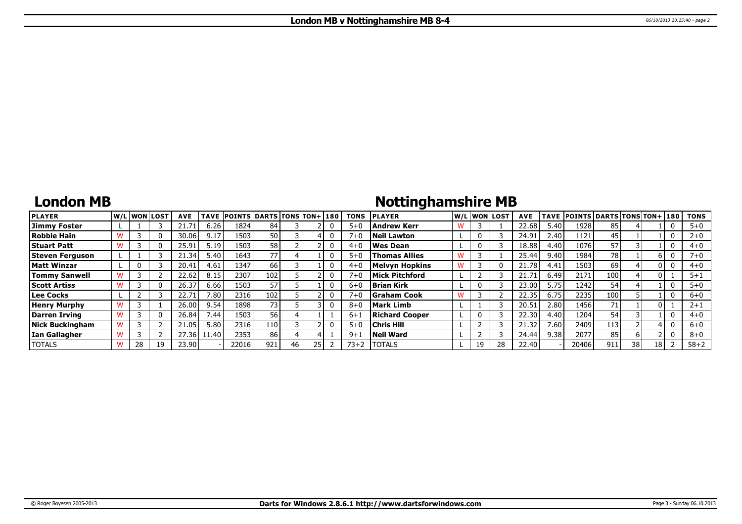## **London MB**

# **Nottinghamshire MB**

| <b>PLAYER</b>          |    | lw/Llwonllost | <b>AVE</b> | <b>TAVE</b> | <b>POINTS DARTS TONS TON+1180</b> |                 |      |  | <b>TONS</b> | <b>PLAYER</b>         |    | W/L WON LOST | <b>AVE</b> |      | TAVE POINTS DARTS TONS TON+ 180 |     |    |      | <b>TONS</b> |
|------------------------|----|---------------|------------|-------------|-----------------------------------|-----------------|------|--|-------------|-----------------------|----|--------------|------------|------|---------------------------------|-----|----|------|-------------|
| Jimmy Foster           |    |               | 21.71      | 6.26        | 1824                              | 84              |      |  | $5 + 0$     | Andrew Kerr           |    |              | 22.68      | 5.40 | 1928                            | 85  |    |      | $5 + 0$     |
| <b>Robbie Hain</b>     |    | 0             | 30.06      | 9.17        | 1503                              | 50              |      |  | 7+0         | Neil Lawton           |    |              | 24.91      | 2.40 | 1121                            | 45  |    |      | $2+0$       |
| <b>Stuart Patt</b>     |    | 0             | 25.91      | 5.19        | 1503                              | 58              |      |  | $4 + 0$     | l Wes Dean            |    |              | 18.88      | 4.40 | 1076                            | 57  |    |      | $4 + 0$     |
| Steven Ferguson        |    |               | 21.34      | 5.40        | 1643                              | 77              |      |  | $5 + C$     | <b>Thomas Allies</b>  |    |              | 25.44      | 9.40 | 1984                            | 78  |    |      | $7 + 0$     |
| Matt Winzar            |    |               | 20.41      | 4.61        | 1347                              | 66              |      |  | $4 + ($     | <b>Melvyn Hopkins</b> |    |              | 21.78      | 4.41 | 1503                            | 69  |    |      | $4 + 0$     |
| <b>Tommy Sanwell</b>   |    |               | 22.62      | 8.15        | 2307                              | 102             |      |  | $7 + 0$     | Mick Pitchford        |    |              | 21.71      | 6.49 | 2171                            | 100 |    |      | $5 + 1$     |
| <b>Scott Artiss</b>    |    | 0             | 26.37      | 6.66        | 1503                              | 57              |      |  | $6 + 0$     | Brian Kirk            |    |              | 23.00      | 5.75 | 1242                            | 54  |    |      | $5 + 0$     |
| Lee Cocks              |    |               | 22.71      | 7.80        | 2316                              | 102             |      |  | $7 + 0$     | <b>IGraham Cook</b>   |    |              | 22.35      | 6.75 | 2235                            | 100 |    |      | $6 + 0$     |
| <b>Henry Murphy</b>    |    |               | 26.00      | 9.54        | 1898                              | 73 <sub>1</sub> |      |  | $8 + C$     | Mark Limb             |    |              | 20.51      | 2.80 | 1456                            | 71  |    |      | $2 + 1$     |
| Darren Irving          |    | 0             | 26.84      | / .44       | 1503                              | 56              |      |  | $6 + 1$     | <b>Richard Cooper</b> |    |              | 22.30      | 4.40 | 1204                            | 54  |    |      | $4 + 0$     |
| <b>Nick Buckingham</b> |    |               | 21.05      | 5.80        | 2316                              | 110             |      |  | $5 + 0$     | <b>Chris Hill</b>     |    |              | 21.32      | 7.60 | 2409                            | 113 |    |      | $6 + 0$     |
| Ian Gallagher          |    |               | 27.36      | 1.40        | 2353                              | 86              |      |  | $9 + 1$     | Neil Ward             |    |              | 24.44      | 9.38 | 2077                            | 85  |    |      | $8 + 0$     |
| <b>TOTALS</b>          | 28 | 19            | 23.90      |             | 22016                             | 921             | 46 I |  | 73+2        | <b>TOTALS</b>         | 19 |              | 22.40      |      | 20406                           | 911 | 38 | 18 I | $58 + 2$    |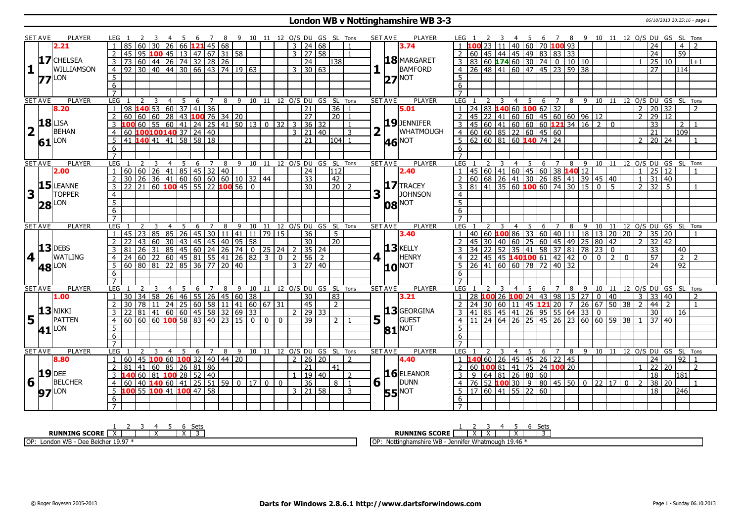### **London WB v Nottinghamshire WB 3-3** 06/10/2013 20:25:16 - page 1

|                         | <b>SET AVE</b>      | PLAYER              | LEG 1<br>$\overline{\mathbf{3}}$                             | 45                                                                         |                 |                | 6 7 8 9 10 11 12 O/S DU GS SL Tons   |                |          |                     |                 |                  |                                  |                | <b>SET AVE</b>  | <b>PLAYER</b>            | LEG 1<br><sup>2</sup>                                                                 | 3                       |                |                                                                     |   |   |   |                              |              |                |              |                |                  |                 | 4 5 6 7 8 9 10 11 12 O/S DU GS SL Tons |
|-------------------------|---------------------|---------------------|--------------------------------------------------------------|----------------------------------------------------------------------------|-----------------|----------------|--------------------------------------|----------------|----------|---------------------|-----------------|------------------|----------------------------------|----------------|-----------------|--------------------------|---------------------------------------------------------------------------------------|-------------------------|----------------|---------------------------------------------------------------------|---|---|---|------------------------------|--------------|----------------|--------------|----------------|------------------|-----------------|----------------------------------------|
|                         |                     | 2.21                | 85<br>60                                                     | $30 26 66$ 121 45 68                                                       |                 |                |                                      |                |          | $3 \mid 24 \mid 68$ |                 |                  | $\overline{1}$                   |                |                 | 3.74                     |                                                                                       | 23 11                   |                | 40 60 70 100 93                                                     |   |   |   |                              |              |                |              |                | 24               |                 | 4 I                                    |
|                         |                     |                     | $\overline{2}$<br>45                                         | 95 <b>100</b> 45   13   47   67   31   58                                  |                 |                |                                      |                |          | $3 \mid 27 \mid 58$ |                 |                  | $\overline{1}$                   |                |                 |                          | 60   45   44   45   49   83   83   33<br>2                                            |                         |                |                                                                     |   |   |   |                              |              |                |              |                | 24               |                 | $\overline{59}$                        |
|                         |                     | 17 CHELSEA          | $\overline{73}$<br>$\mathbf{3}$                              | 60 44 26 74 32 28 26                                                       |                 |                |                                      |                |          |                     | $\overline{24}$ | 11381            |                                  |                |                 | 18 MARGARET              | 3 83 60 174 60 30 74 0 10 10                                                          |                         |                |                                                                     |   |   |   |                              |              |                |              |                | $\overline{25}$  | 10 <sup>1</sup> | $1 + 1$                                |
| $\mathbf{1}$            |                     | WILLIAMSON          | 92 30 40 44 30 66 43 74 19 63<br>$\overline{4}$              |                                                                            |                 |                |                                      |                |          | $3 \mid 30 \mid 63$ |                 |                  |                                  |                |                 | BAMFORD                  | 4 26 48 41 60 47 45 23 59 38                                                          |                         |                |                                                                     |   |   |   |                              |              |                |              |                | 27               |                 | 114l                                   |
|                         |                     | $77$ <sup>LON</sup> | $\overline{5}$                                               |                                                                            |                 |                |                                      |                |          |                     |                 |                  |                                  |                | 27 <sub>l</sub> | NOT                      | 5 <sup>5</sup>                                                                        |                         |                |                                                                     |   |   |   |                              |              |                |              |                |                  |                 |                                        |
|                         |                     |                     | $\overline{6}$                                               |                                                                            |                 |                |                                      |                |          |                     |                 |                  |                                  |                |                 |                          | 6                                                                                     |                         |                |                                                                     |   |   |   |                              |              |                |              |                |                  |                 |                                        |
|                         |                     |                     | $\overline{7}$                                               |                                                                            |                 |                |                                      |                |          |                     |                 |                  |                                  |                |                 |                          | $\overline{7}$                                                                        |                         |                |                                                                     |   |   |   |                              |              |                |              |                |                  |                 |                                        |
|                         | <b>SET AVE</b>      | <b>PLAYER</b>       | <b>LEG</b><br>2<br>$\overline{\mathbf{3}}$<br>$\overline{1}$ | $\overline{4}$<br>5                                                        |                 |                | 6 7 8 9 10 11 12 O/S DU GS SL Tons   |                |          |                     |                 |                  |                                  |                | <b>SET AVE</b>  | <b>PLAYER</b>            | LEG 1<br>2                                                                            | $\overline{\mathbf{3}}$ |                | $4 \quad 5 \quad 6 \quad 7$                                         |   |   |   |                              |              |                |              |                |                  |                 | 8 9 10 11 12 0/S DU GS SL Tons         |
|                         |                     | 8.20                | 98<br>$\overline{1}$                                         | $140$ 53 60 37 41 36                                                       |                 |                |                                      |                |          |                     | $\overline{21}$ |                  | $36$   1                         |                |                 | 5.01                     | 24 83 140 60 100 62 32                                                                |                         |                |                                                                     |   |   |   |                              |              |                |              | $\overline{2}$ | 20               | 32              |                                        |
|                         |                     |                     | $\overline{2}$<br>60                                         | 60 60 28                                                                   | 43 100 76 34 20 |                |                                      |                |          |                     | <b>27</b>       |                  | $\sqrt{20}$ 1                    |                |                 |                          | $\overline{2}$<br>45                                                                  | $\sqrt{22}$   41        |                |                                                                     |   |   |   |                              |              |                |              |                | $2$ 29 12        |                 |                                        |
|                         |                     | $18$ LISA           | 3                                                            |                                                                            |                 |                |                                      |                |          | $\overline{3}$      | 36 32           |                  |                                  |                |                 | 19 JENNIFER              | $45\,$ 60 $\,$ 41 60 60 60 <b>121</b> 34 16 2<br>$\mathbf{3}$                         |                         |                |                                                                     |   |   |   |                              |              | $\mathbf{0}$   |              |                | $\overline{33}$  |                 | 2 <sup>1</sup>                         |
| $\overline{\mathbf{2}}$ |                     | <b>BEHAN</b>        | 60                                                           | $100100140$ 37 24 40                                                       |                 |                |                                      |                |          | 3   21   40         |                 |                  | 3                                |                |                 | WHATMOUGH                | 4 60 60 85 22 60 45 60                                                                |                         |                |                                                                     |   |   |   |                              |              |                |              |                | $\overline{21}$  |                 | 109                                    |
|                         |                     | $61$ <sup>LON</sup> | 41 140 41 41 58 58 18<br>5                                   |                                                                            |                 |                |                                      |                |          |                     | 21              |                  | $104$   1                        |                |                 |                          | $5   62   60   81   60$ 140 74 24                                                     |                         |                |                                                                     |   |   |   |                              |              |                |              | $2^{\circ}$    | 20 24            |                 |                                        |
|                         |                     |                     | 6                                                            |                                                                            |                 |                |                                      |                |          |                     |                 |                  |                                  |                |                 | <b>46</b> <sup>NOT</sup> | 6                                                                                     |                         |                |                                                                     |   |   |   |                              |              |                |              |                |                  |                 |                                        |
|                         |                     |                     | $\overline{7}$                                               |                                                                            |                 |                |                                      |                |          |                     |                 |                  |                                  |                |                 |                          | $\overline{7}$                                                                        |                         |                |                                                                     |   |   |   |                              |              |                |              |                |                  |                 |                                        |
|                         | <b>SET AVE</b>      | <b>PLAYER</b>       | LEG <sub>1</sub>                                             | 3<br>$\overline{4}$                                                        |                 |                | 5 6 7 8 9 10 11 12 O/S DU GS SL Tons |                |          |                     |                 |                  |                                  |                | <b>SET AVE</b>  | <b>PLAYER</b>            | LEG <sub>1</sub>                                                                      | $\overline{3}$          |                |                                                                     |   |   |   |                              |              |                |              |                |                  |                 | 4 5 6 7 8 9 10 11 12 O/S DU GS SL Tons |
|                         |                     | 2.00                | 60   60   26   41   85   45   32   40                        |                                                                            |                 |                |                                      |                |          |                     | $\sqrt{24}$     | $\overline{112}$ |                                  |                |                 | 2.40                     | $45 60 41 60 45 60 38$ 140 12                                                         |                         |                |                                                                     |   |   |   |                              |              |                |              | $\mathbf{1}$   | 25 12            |                 |                                        |
|                         |                     |                     | 30<br>$\overline{2}$                                         |                                                                            |                 |                |                                      |                |          |                     | $ 33\rangle$    | $\overline{42}$  |                                  |                |                 |                          | $\overline{60}$ 68 26 41 30 26 85 41 39 45 40<br>2                                    |                         |                |                                                                     |   |   |   |                              |              |                |              | $\overline{1}$ | $\overline{31}$  | 40              |                                        |
|                         | 15                  | <b>LEANNE</b>       | $\overline{3}$<br>22                                         | 26 36 41 60 60 60 60 10 32 44<br>21 60 <b>100</b> 45 55 22 <b>100</b> 56 0 |                 |                |                                      |                |          |                     | $\overline{30}$ |                  | $\vert$ 20 $\vert$ 2             |                |                 | $17$ TRACEY              | $3   81   41   35   60   100   60   74   30   15   0$                                 |                         |                |                                                                     |   |   |   |                              |              | - 5            |              |                | $2 \mid 32 \mid$ | 5 <sup>1</sup>  | $\overline{1}$                         |
| $\overline{\mathbf{3}}$ |                     | <b>TOPPER</b>       | $\overline{4}$                                               |                                                                            |                 |                |                                      |                |          |                     |                 |                  |                                  | 3              |                 | <b>JOHNSON</b>           | $\overline{4}$                                                                        |                         |                |                                                                     |   |   |   |                              |              |                |              |                |                  |                 |                                        |
|                         | 28                  | <b>LON</b>          | $\overline{5}$                                               |                                                                            |                 |                |                                      |                |          |                     |                 |                  |                                  |                |                 | <b>08 NOT</b>            | $\overline{5}$                                                                        |                         |                |                                                                     |   |   |   |                              |              |                |              |                |                  |                 |                                        |
|                         |                     |                     | $\overline{6}$                                               |                                                                            |                 |                |                                      |                |          |                     |                 |                  |                                  |                |                 |                          | 6                                                                                     |                         |                |                                                                     |   |   |   |                              |              |                |              |                |                  |                 |                                        |
|                         |                     |                     | $\overline{7}$                                               |                                                                            |                 |                |                                      |                |          |                     |                 |                  |                                  |                |                 |                          | $\overline{7}$                                                                        |                         |                |                                                                     |   |   |   |                              |              |                |              |                |                  |                 |                                        |
|                         | <b>SET AVE</b>      | <b>PLAYER</b>       | LEG                                                          | 5<br>3<br>$\overline{4}$                                                   |                 |                | 6 7 8 9 10 11 12 0/S DU GS SL Tons   |                |          |                     |                 |                  |                                  |                | <b>SET AVE</b>  | <b>PLAYER</b>            | LEG <sub>1</sub>                                                                      | 3                       |                |                                                                     |   |   |   |                              |              |                |              |                |                  |                 | 4 5 6 7 8 9 10 11 12 O/S DU GS SL Tons |
|                         |                     |                     | 45 23 85 85 26 45 30 11 41 11 79 15<br>$\overline{1}$        |                                                                            |                 |                |                                      |                |          |                     | 36              | 5 <sup>5</sup>   |                                  |                |                 | 3.40                     | 40   60   <mark>100</mark>   86   33   60   40   11   18   13   20   20   2   35   20 |                         |                |                                                                     |   |   |   |                              |              |                |              |                |                  |                 | $\overline{1}$                         |
|                         |                     |                     | $\overline{2}$<br>$\overline{22}$<br>43<br>$\overline{60}$   | $\overline{30}$                                                            |                 |                | 43 45 45 40 95 58                    |                |          |                     | 30 <sup>7</sup> | $\overline{20}$  |                                  |                |                 |                          | 45 30 40 60 25 60 45 49 25 80 42                                                      |                         |                |                                                                     |   |   |   |                              |              |                |              | $\overline{2}$ | 32               | 42              |                                        |
|                         |                     | $13$ DEBS           | $\mathbf{3}$<br>81                                           | 26 31 85 45 60 24 26 74 0 25 24                                            |                 |                |                                      |                |          | $2 \mid 35 \mid 24$ |                 |                  |                                  |                |                 | $13$ <b>KELLY</b>        | 34 22 52 35 41 58 37 81 78 23                                                         |                         |                |                                                                     |   |   |   |                              |              | $\overline{0}$ |              |                | 33               |                 | 40                                     |
| 4                       |                     | <b>WATLING</b>      | $60$   22<br>$\overline{4}$<br>24                            | 60   45   81   55   41   26   82                                           |                 |                |                                      | $\overline{3}$ | $\Omega$ | $\overline{2}$      | 56   2          |                  |                                  | 4              |                 | <b>HENRY</b>             | 22<br>$\overline{4}$                                                                  |                         |                | 45   45   140 100 61   42   42   0                                  |   |   |   |                              | $\mathbf{0}$ | $\overline{2}$ | $\mathbf{0}$ |                | 57               |                 | 2<br>$\overline{2}$                    |
|                         |                     | 48 LON              | $60$ 80 81 22<br>5                                           |                                                                            | 85 36 77 20 40  |                |                                      |                |          | 3 27 40             |                 |                  |                                  |                | 10              | <b>NOT</b>               | 26 41 60 60 78 72 40 32                                                               |                         |                |                                                                     |   |   |   |                              |              |                |              |                | $\overline{24}$  |                 | $\overline{92}$                        |
|                         |                     |                     | 6                                                            |                                                                            |                 |                |                                      |                |          |                     |                 |                  |                                  |                |                 |                          | 6                                                                                     |                         |                |                                                                     |   |   |   |                              |              |                |              |                |                  |                 |                                        |
|                         |                     |                     | $\overline{7}$                                               |                                                                            |                 |                |                                      |                |          |                     |                 |                  |                                  |                |                 |                          |                                                                                       |                         |                |                                                                     |   |   |   |                              |              |                |              |                |                  |                 |                                        |
|                         | <b>SET AVE</b>      | <b>PLAYER</b>       | LEG                                                          | 5<br>$\overline{4}$                                                        | 6               | 7              | 8 9 10 11 12 0/S DU GS SL Tons       |                |          |                     |                 |                  |                                  |                | <b>SET AVE</b>  | <b>PLAYER</b>            | LEG :                                                                                 |                         | $\overline{4}$ | 5                                                                   | 6 | 7 | 8 | $\sqrt{9}$                   |              |                |              |                |                  |                 | 10 11 12 O/S DU GS SL Tons             |
|                         |                     | 1.00                | 30                                                           | 34   58   26                                                               |                 |                | 46 55 26 45 60 38                    |                |          |                     | 30              | 83               |                                  |                |                 | 3.21                     | 28 100 26 100 24 43 98 15 27                                                          |                         |                |                                                                     |   |   |   |                              | $\mathbf{0}$ | 40             |              | 3              | 33               | 40              |                                        |
|                         |                     |                     | 30<br>78                                                     | $11$   24   25   60   58   11   41   60   67   31                          |                 |                |                                      |                |          |                     | 45              | $\overline{2}$   |                                  |                |                 |                          | 24                                                                                    |                         |                | 30 60 11 45 121 20 7                                                |   |   |   | $26 \mid 67 \mid 50 \mid 38$ |              |                |              | l 2.           | 44               | $\overline{2}$  | $\overline{1}$                         |
|                         | 13                  | <b>NIKKI</b>        |                                                              | $81 \mid 41 \mid 60 \mid 60 \mid 45 \mid 58 \mid 32 \mid 69 \mid 33$       |                 |                |                                      |                |          | 2                   | 29 33           |                  |                                  |                |                 | $13$ GEORGINA            |                                                                                       |                         |                | $85 \mid 45 \mid 41 \mid 26 \mid 95 \mid 55 \mid 64 \mid 33 \mid 0$ |   |   |   |                              |              |                |              |                | 30               |                 | 16                                     |
| 5                       |                     | <b>PATTEN</b>       | $\overline{4}$                                               |                                                                            |                 |                |                                      | $\Omega$       | $\Omega$ |                     | $\overline{39}$ |                  | 2 <sub>1</sub><br>$\overline{1}$ | 5 <sub>1</sub> |                 | GUEST                    | 4 11 24 64 26 25 45 26 23 60 60 59 38                                                 |                         |                |                                                                     |   |   |   |                              |              |                |              |                | 37 40            |                 |                                        |
|                         |                     |                     | 5                                                            |                                                                            |                 |                |                                      |                |          |                     |                 |                  |                                  |                |                 | <b>81 NOT</b>            | .5.                                                                                   |                         |                |                                                                     |   |   |   |                              |              |                |              |                |                  |                 |                                        |
|                         |                     |                     |                                                              |                                                                            |                 |                |                                      |                |          |                     |                 |                  |                                  |                |                 |                          | 6                                                                                     |                         |                |                                                                     |   |   |   |                              |              |                |              |                |                  |                 |                                        |
|                         |                     | $41$ <sup>LON</sup> | $\overline{6}$                                               |                                                                            |                 |                |                                      |                |          |                     |                 |                  |                                  |                |                 |                          |                                                                                       |                         |                |                                                                     |   |   |   |                              |              |                |              |                |                  |                 |                                        |
|                         |                     |                     | $\overline{7}$                                               |                                                                            |                 |                |                                      |                |          |                     |                 |                  |                                  |                |                 |                          | $\overline{7}$                                                                        |                         |                |                                                                     |   |   |   |                              |              |                |              |                |                  |                 |                                        |
|                         | <b>SET AVE</b>      | PLAYER              | LEG                                                          | $\overline{4}$<br>-5<br>3                                                  | 6               | $\overline{7}$ | 8 9 10 11 12 0/S DU GS SL Tons       |                |          |                     |                 |                  |                                  |                | <b>SET AVE</b>  | <b>PLAYER</b>            | LEG                                                                                   | 3                       | $\overline{4}$ |                                                                     |   |   |   |                              |              |                |              |                |                  |                 | 5 6 7 8 9 10 11 12 O/S DU GS SL Tons   |
|                         |                     | 8.80                | 60<br>45<br>$\mathbf{1}$                                     | $100$ 60 $100$ 32 40 44 20                                                 |                 |                |                                      |                |          | $2 \mid 26 \mid 20$ |                 |                  | $\overline{2}$                   |                |                 | 4.40                     | 1 <b>140</b> 60 26 45 45 26 22 45                                                     |                         |                |                                                                     |   |   |   |                              |              |                |              |                | 24               |                 | 92<br>$\overline{1}$                   |
|                         |                     |                     | $\overline{2}$<br>81                                         | 41 60 85 26 81 86                                                          |                 |                |                                      |                |          |                     | 21              | 41               |                                  |                |                 |                          | 60   100   81   41   75   24   100   20<br>2                                          |                         |                |                                                                     |   |   |   |                              |              |                |              |                | $\overline{22}$  | 20              | $\mathcal{L}$                          |
|                         | 19                  | <b>DEE</b>          | 3                                                            | $60 \ 81 \ 100 \ 28 \ 52 \ 40$                                             |                 |                |                                      |                |          |                     | 19 40           |                  | $\overline{2}$                   |                |                 | $16$ ELEANOR             | $\mathsf{q}$<br>$\overline{3}$                                                        |                         |                | $64$ 81 26 80 60                                                    |   |   |   |                              |              |                |              |                | $\overline{18}$  |                 | $\overline{181}$                       |
|                         | $6 \mid \cdot \mid$ | <b>BELCHER</b>      | 40<br>$\overline{4}$<br>60                                   | $140$ 60 41 25 51 59 0 17 0 0                                              |                 |                |                                      |                |          |                     | $\overline{36}$ |                  | 8   1                            |                | $6\sqrt{1}$     | <b>DUNN</b>              | $4$   76   52   100   30   9   80   45   50   0   22   17   0   2                     |                         |                |                                                                     |   |   |   |                              |              |                |              |                | $\overline{38}$  | 20              | $\overline{1}$                         |
|                         |                     |                     | 5                                                            | 55 100 41 100 47 58                                                        |                 |                |                                      |                |          | $3 \mid 21 \mid 58$ |                 |                  | 3                                |                |                 | <b>NOT</b>               | $5 \mid 17 \mid 60 \mid 41 \mid 55 \mid 22 \mid 60$                                   |                         |                |                                                                     |   |   |   |                              |              |                |              |                | 18               |                 | l246l                                  |
|                         |                     | <b>97</b> LON       | 6                                                            |                                                                            |                 |                |                                      |                |          |                     |                 |                  |                                  |                | 55              |                          | 6                                                                                     |                         |                |                                                                     |   |   |   |                              |              |                |              |                |                  |                 |                                        |

| .<br><b>SELS</b>                                                                      | Sets                                                            |
|---------------------------------------------------------------------------------------|-----------------------------------------------------------------|
| <b>RUNNING SCORE</b>                                                                  | <b>RUNNING SCORE</b><br>. .                                     |
| 0 07 -<br><b>I</b> OP<br>11ID<br>: Belcher<br>Doc<br>- 19.97<br>LUI IUL<br>. <i>.</i> | 10F<br>: Whatmough 19.46<br>ımshire WB<br>Nottingha<br>Jennifer |